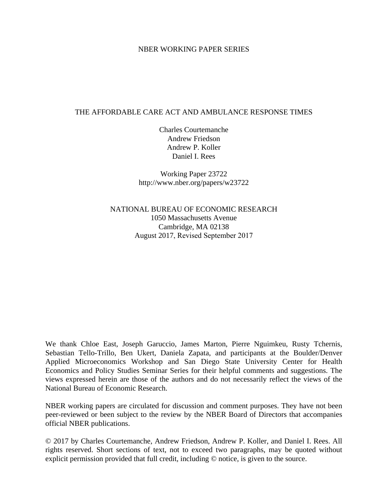### NBER WORKING PAPER SERIES

### THE AFFORDABLE CARE ACT AND AMBULANCE RESPONSE TIMES

Charles Courtemanche Andrew Friedson Andrew P. Koller Daniel I. Rees

Working Paper 23722 http://www.nber.org/papers/w23722

NATIONAL BUREAU OF ECONOMIC RESEARCH 1050 Massachusetts Avenue Cambridge, MA 02138 August 2017, Revised September 2017

We thank Chloe East, Joseph Garuccio, James Marton, Pierre Nguimkeu, Rusty Tchernis, Sebastian Tello-Trillo, Ben Ukert, Daniela Zapata, and participants at the Boulder/Denver Applied Microeconomics Workshop and San Diego State University Center for Health Economics and Policy Studies Seminar Series for their helpful comments and suggestions. The views expressed herein are those of the authors and do not necessarily reflect the views of the National Bureau of Economic Research.

NBER working papers are circulated for discussion and comment purposes. They have not been peer-reviewed or been subject to the review by the NBER Board of Directors that accompanies official NBER publications.

© 2017 by Charles Courtemanche, Andrew Friedson, Andrew P. Koller, and Daniel I. Rees. All rights reserved. Short sections of text, not to exceed two paragraphs, may be quoted without explicit permission provided that full credit, including © notice, is given to the source.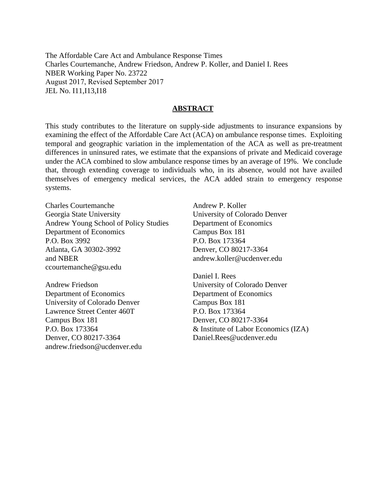The Affordable Care Act and Ambulance Response Times Charles Courtemanche, Andrew Friedson, Andrew P. Koller, and Daniel I. Rees NBER Working Paper No. 23722 August 2017, Revised September 2017 JEL No. I11,I13,I18

### **ABSTRACT**

This study contributes to the literature on supply-side adjustments to insurance expansions by examining the effect of the Affordable Care Act (ACA) on ambulance response times. Exploiting temporal and geographic variation in the implementation of the ACA as well as pre-treatment differences in uninsured rates, we estimate that the expansions of private and Medicaid coverage under the ACA combined to slow ambulance response times by an average of 19%. We conclude that, through extending coverage to individuals who, in its absence, would not have availed themselves of emergency medical services, the ACA added strain to emergency response systems.

Charles Courtemanche Georgia State University Andrew Young School of Policy Studies Department of Economics P.O. Box 3992 Atlanta, GA 30302-3992 and NBER ccourtemanche@gsu.edu

Andrew Friedson Department of Economics University of Colorado Denver Lawrence Street Center 460T Campus Box 181 P.O. Box 173364 Denver, CO 80217-3364 andrew.friedson@ucdenver.edu Andrew P. Koller University of Colorado Denver Department of Economics Campus Box 181 P.O. Box 173364 Denver, CO 80217-3364 andrew.koller@ucdenver.edu

Daniel I. Rees University of Colorado Denver Department of Economics Campus Box 181 P.O. Box 173364 Denver, CO 80217-3364 & Institute of Labor Economics (IZA) Daniel.Rees@ucdenver.edu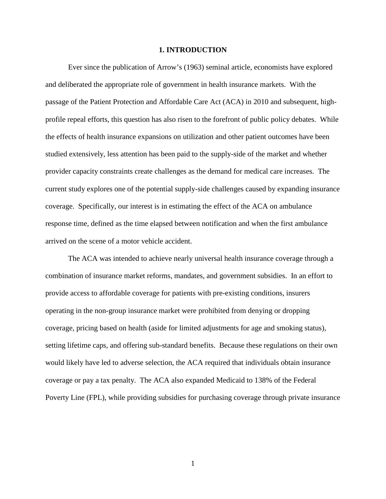#### **1. INTRODUCTION**

Ever since the publication of Arrow's (1963) seminal article, economists have explored and deliberated the appropriate role of government in health insurance markets. With the passage of the Patient Protection and Affordable Care Act (ACA) in 2010 and subsequent, highprofile repeal efforts, this question has also risen to the forefront of public policy debates. While the effects of health insurance expansions on utilization and other patient outcomes have been studied extensively, less attention has been paid to the supply-side of the market and whether provider capacity constraints create challenges as the demand for medical care increases. The current study explores one of the potential supply-side challenges caused by expanding insurance coverage. Specifically, our interest is in estimating the effect of the ACA on ambulance response time, defined as the time elapsed between notification and when the first ambulance arrived on the scene of a motor vehicle accident.

The ACA was intended to achieve nearly universal health insurance coverage through a combination of insurance market reforms, mandates, and government subsidies. In an effort to provide access to affordable coverage for patients with pre-existing conditions, insurers operating in the non-group insurance market were prohibited from denying or dropping coverage, pricing based on health (aside for limited adjustments for age and smoking status), setting lifetime caps, and offering sub-standard benefits. Because these regulations on their own would likely have led to adverse selection, the ACA required that individuals obtain insurance coverage or pay a tax penalty. The ACA also expanded Medicaid to 138% of the Federal Poverty Line (FPL), while providing subsidies for purchasing coverage through private insurance

1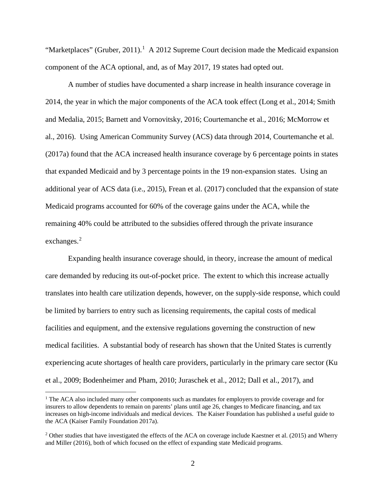"Marketplaces" (Gruber, 20[1](#page-3-0)1).<sup>1</sup> A 2012 Supreme Court decision made the Medicaid expansion component of the ACA optional, and, as of May 2017, 19 states had opted out.

A number of studies have documented a sharp increase in health insurance coverage in 2014, the year in which the major components of the ACA took effect (Long et al., 2014; Smith and Medalia, 2015; Barnett and Vornovitsky, 2016; Courtemanche et al., 2016; McMorrow et al., 2016). Using American Community Survey (ACS) data through 2014, Courtemanche et al. (2017a) found that the ACA increased health insurance coverage by 6 percentage points in states that expanded Medicaid and by 3 percentage points in the 19 non-expansion states. Using an additional year of ACS data (i.e., 2015), Frean et al. (2017) concluded that the expansion of state Medicaid programs accounted for 60% of the coverage gains under the ACA, while the remaining 40% could be attributed to the subsidies offered through the private insurance exchanges.<sup>[2](#page-3-1)</sup>

 Expanding health insurance coverage should, in theory, increase the amount of medical care demanded by reducing its out-of-pocket price. The extent to which this increase actually translates into health care utilization depends, however, on the supply-side response, which could be limited by barriers to entry such as licensing requirements, the capital costs of medical facilities and equipment, and the extensive regulations governing the construction of new medical facilities. A substantial body of research has shown that the United States is currently experiencing acute shortages of health care providers, particularly in the primary care sector (Ku et al., 2009; Bodenheimer and Pham, 2010; Juraschek et al., 2012; Dall et al., 2017), and

<span id="page-3-0"></span><sup>&</sup>lt;sup>1</sup> The ACA also included many other components such as mandates for employers to provide coverage and for insurers to allow dependents to remain on parents' plans until age 26, changes to Medicare financing, and tax increases on high-income individuals and medical devices. The Kaiser Foundation has published a useful guide to the ACA (Kaiser Family Foundation 2017a).

<span id="page-3-1"></span><sup>&</sup>lt;sup>2</sup> Other studies that have investigated the effects of the ACA on coverage include Kaestner et al. (2015) and Wherry and Miller (2016), both of which focused on the effect of expanding state Medicaid programs.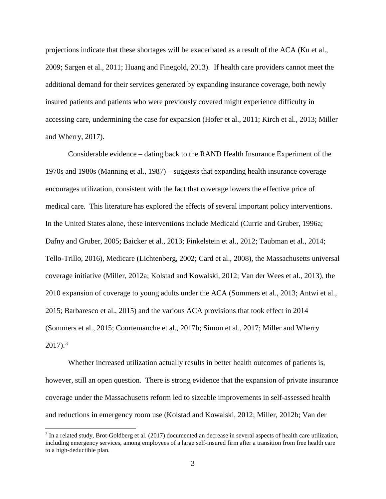projections indicate that these shortages will be exacerbated as a result of the ACA (Ku et al., 2009; Sargen et al., 2011; Huang and Finegold, 2013). If health care providers cannot meet the additional demand for their services generated by expanding insurance coverage, both newly insured patients and patients who were previously covered might experience difficulty in accessing care, undermining the case for expansion (Hofer et al., 2011; Kirch et al., 2013; Miller and Wherry, 2017).

Considerable evidence – dating back to the RAND Health Insurance Experiment of the 1970s and 1980s (Manning et al., 1987) – suggests that expanding health insurance coverage encourages utilization, consistent with the fact that coverage lowers the effective price of medical care. This literature has explored the effects of several important policy interventions. In the United States alone, these interventions include Medicaid (Currie and Gruber, 1996a; Dafny and Gruber, 2005; Baicker et al., 2013; Finkelstein et al., 2012; Taubman et al., 2014; Tello-Trillo, 2016), Medicare (Lichtenberg, 2002; Card et al., 2008), the Massachusetts universal coverage initiative (Miller, 2012a; Kolstad and Kowalski, 2012; Van der Wees et al., 2013), the 2010 expansion of coverage to young adults under the ACA (Sommers et al., 2013; Antwi et al., 2015; Barbaresco et al., 2015) and the various ACA provisions that took effect in 2014 (Sommers et al., 2015; Courtemanche et al., 2017b; Simon et al., 2017; Miller and Wherry  $2017$ ).<sup>[3](#page-4-0)</sup>

Whether increased utilization actually results in better health outcomes of patients is, however, still an open question. There is strong evidence that the expansion of private insurance coverage under the Massachusetts reform led to sizeable improvements in self-assessed health and reductions in emergency room use (Kolstad and Kowalski, 2012; Miller, 2012b; Van der

<span id="page-4-0"></span><sup>3</sup> In a related study, Brot-Goldberg et al. (2017) documented an decrease in several aspects of health care utilization, including emergency services, among employees of a large self-insured firm after a transition from free health care to a high-deductible plan.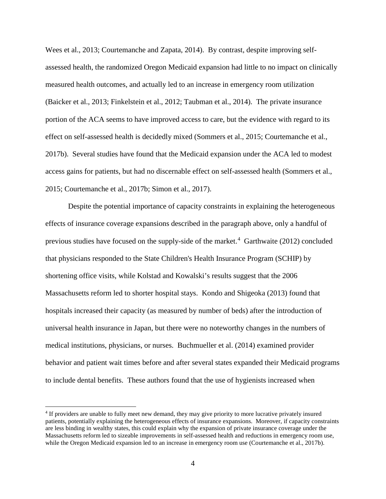Wees et al., 2013; Courtemanche and Zapata, 2014). By contrast, despite improving selfassessed health, the randomized Oregon Medicaid expansion had little to no impact on clinically measured health outcomes, and actually led to an increase in emergency room utilization (Baicker et al., 2013; Finkelstein et al., 2012; Taubman et al., 2014). The private insurance portion of the ACA seems to have improved access to care, but the evidence with regard to its effect on self-assessed health is decidedly mixed (Sommers et al., 2015; Courtemanche et al., 2017b). Several studies have found that the Medicaid expansion under the ACA led to modest access gains for patients, but had no discernable effect on self-assessed health (Sommers et al., 2015; Courtemanche et al., 2017b; Simon et al., 2017).

Despite the potential importance of capacity constraints in explaining the heterogeneous effects of insurance coverage expansions described in the paragraph above, only a handful of previous studies have focused on the supply-side of the market.<sup>[4](#page-5-0)</sup> Garthwaite (2012) concluded that physicians responded to the State Children's Health Insurance Program (SCHIP) by shortening office visits, while Kolstad and Kowalski's results suggest that the 2006 Massachusetts reform led to shorter hospital stays. Kondo and Shigeoka (2013) found that hospitals increased their capacity (as measured by number of beds) after the introduction of universal health insurance in Japan, but there were no noteworthy changes in the numbers of medical institutions, physicians, or nurses. Buchmueller et al. (2014) examined provider behavior and patient wait times before and after several states expanded their Medicaid programs to include dental benefits. These authors found that the use of hygienists increased when

<span id="page-5-0"></span><sup>4</sup> If providers are unable to fully meet new demand, they may give priority to more lucrative privately insured patients, potentially explaining the heterogeneous effects of insurance expansions. Moreover, if capacity constraints are less binding in wealthy states, this could explain why the expansion of private insurance coverage under the Massachusetts reform led to sizeable improvements in self-assessed health and reductions in emergency room use, while the Oregon Medicaid expansion led to an increase in emergency room use (Courtemanche et al., 2017b).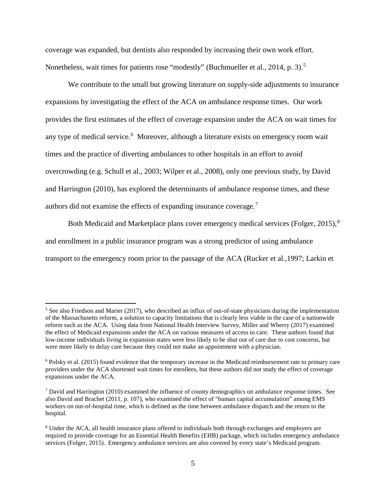coverage was expanded, but dentists also responded by increasing their own work effort. Nonetheless, wait times for patients rose "modestly" (Buchmueller et al., 2014, p. 3).<sup>[5](#page-6-0)</sup>

 We contribute to the small but growing literature on supply-side adjustments to insurance expansions by investigating the effect of the ACA on ambulance response times. Our work provides the first estimates of the effect of coverage expansion under the ACA on wait times for any type of medical service.<sup>[6](#page-6-1)</sup> Moreover, although a literature exists on emergency room wait times and the practice of diverting ambulances to other hospitals in an effort to avoid overcrowding (e.g. Schull et al., 2003; Wilper et al., 2008), only one previous study, by David and Harrington (2010), has explored the determinants of ambulance response times, and these authors did not examine the effects of expanding insurance coverage.<sup>[7](#page-6-2)</sup>

Both Medicaid and Marketplace plans cover emergency medical services (Folger, 2015),<sup>[8](#page-6-3)</sup> and enrollment in a public insurance program was a strong predictor of using ambulance transport to the emergency room prior to the passage of the ACA (Rucker et al.,1997; Larkin et

<span id="page-6-0"></span><sup>&</sup>lt;sup>5</sup> See also Friedson and Marier (2017), who described an influx of out-of-state physicians during the implementation of the Massachusetts reform, a solution to capacity limitations that is clearly less viable in the case of a nationwide reform such as the ACA. Using data from National Health Interview Survey, Miller and Wherry (2017) examined the effect of Medicaid expansions under the ACA on various measures of access to care. These authors found that low-income individuals living in expansion states were less likely to be shut out of care due to cost concerns, but were more likely to delay care because they could not make an appointment with a physician.

<span id="page-6-1"></span><sup>6</sup> Polsky et al. (2015) found evidence that the temporary increase in the Medicaid reimbursement rate to primary care providers under the ACA shortened wait times for enrollees, but these authors did not study the effect of coverage expansions under the ACA.

<span id="page-6-2"></span><sup>7</sup> David and Harrington (2010) examined the influence of county demographics on ambulance response times. See also David and Brachet (2011, p. 107), who examined the effect of "human capital accumulation" among EMS workers on out-of-hospital time, which is defined as the time between ambulance dispatch and the return to the hospital.

<span id="page-6-3"></span><sup>8</sup> Under the ACA, all health insurance plans offered to individuals both through exchanges and employers are required to provide coverage for an Essential Health Benefits (EHB) package, which includes emergency ambulance services (Folger, 2015). Emergency ambulance services are also covered by every state's Medicaid program.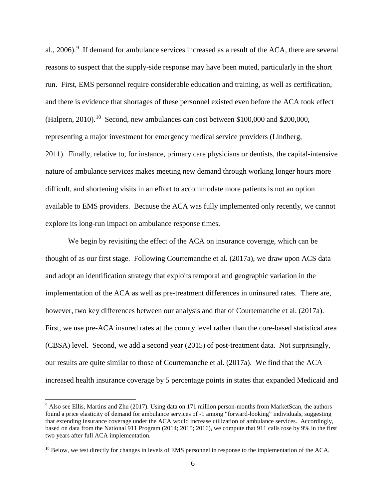al., 2006).<sup>[9](#page-7-0)</sup> If demand for ambulance services increased as a result of the ACA, there are several reasons to suspect that the supply-side response may have been muted, particularly in the short run. First, EMS personnel require considerable education and training, as well as certification, and there is evidence that shortages of these personnel existed even before the ACA took effect (Halpern, 20[10](#page-7-1)).<sup>10</sup> Second, new ambulances can cost between \$100,000 and \$200,000, representing a major investment for emergency medical service providers (Lindberg, 2011). Finally, relative to, for instance, primary care physicians or dentists, the capital-intensive nature of ambulance services makes meeting new demand through working longer hours more difficult, and shortening visits in an effort to accommodate more patients is not an option available to EMS providers. Because the ACA was fully implemented only recently, we cannot explore its long-run impact on ambulance response times.

We begin by revisiting the effect of the ACA on insurance coverage, which can be thought of as our first stage. Following Courtemanche et al. (2017a), we draw upon ACS data and adopt an identification strategy that exploits temporal and geographic variation in the implementation of the ACA as well as pre-treatment differences in uninsured rates. There are, however, two key differences between our analysis and that of Courtemanche et al. (2017a). First, we use pre-ACA insured rates at the county level rather than the core-based statistical area (CBSA) level. Second, we add a second year (2015) of post-treatment data. Not surprisingly, our results are quite similar to those of Courtemanche et al. (2017a). We find that the ACA increased health insurance coverage by 5 percentage points in states that expanded Medicaid and

<span id="page-7-0"></span><sup>9</sup> Also see Ellis, Martins and Zhu (2017). Using data on 171 million person-months from MarketScan, the authors found a price elasticity of demand for ambulance services of -1 among "forward-looking" individuals, suggesting that extending insurance coverage under the ACA would increase utilization of ambulance services. Accordingly, based on data from the National 911 Program (2014; 2015; 2016), we compute that 911 calls rose by 9% in the first two years after full ACA implementation.

<span id="page-7-1"></span><sup>&</sup>lt;sup>10</sup> Below, we test directly for changes in levels of EMS personnel in response to the implementation of the ACA.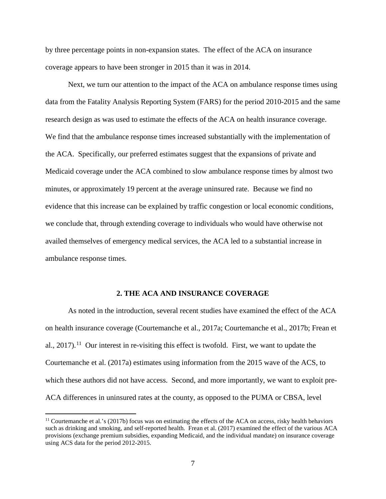by three percentage points in non-expansion states. The effect of the ACA on insurance coverage appears to have been stronger in 2015 than it was in 2014.

Next, we turn our attention to the impact of the ACA on ambulance response times using data from the Fatality Analysis Reporting System (FARS) for the period 2010-2015 and the same research design as was used to estimate the effects of the ACA on health insurance coverage. We find that the ambulance response times increased substantially with the implementation of the ACA. Specifically, our preferred estimates suggest that the expansions of private and Medicaid coverage under the ACA combined to slow ambulance response times by almost two minutes, or approximately 19 percent at the average uninsured rate. Because we find no evidence that this increase can be explained by traffic congestion or local economic conditions, we conclude that, through extending coverage to individuals who would have otherwise not availed themselves of emergency medical services, the ACA led to a substantial increase in ambulance response times.

#### **2. THE ACA AND INSURANCE COVERAGE**

As noted in the introduction, several recent studies have examined the effect of the ACA on health insurance coverage (Courtemanche et al., 2017a; Courtemanche et al., 2017b; Frean et al., 2017).<sup>[11](#page-8-0)</sup> Our interest in re-visiting this effect is twofold. First, we want to update the Courtemanche et al. (2017a) estimates using information from the 2015 wave of the ACS, to which these authors did not have access. Second, and more importantly, we want to exploit pre-ACA differences in uninsured rates at the county, as opposed to the PUMA or CBSA, level

<span id="page-8-0"></span> $11$  Courtemanche et al.'s (2017b) focus was on estimating the effects of the ACA on access, risky health behaviors such as drinking and smoking, and self-reported health. Frean et al. (2017) examined the effect of the various ACA provisions (exchange premium subsidies, expanding Medicaid, and the individual mandate) on insurance coverage using ACS data for the period 2012-2015.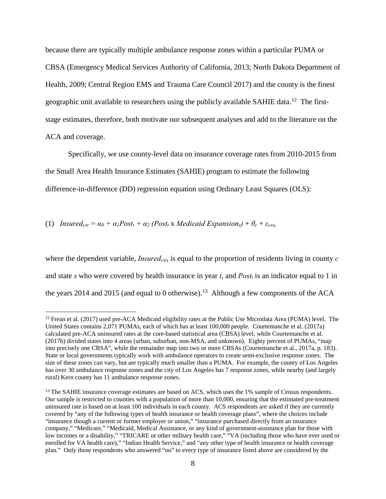because there are typically multiple ambulance response zones within a particular PUMA or CBSA (Emergency Medical Services Authority of California, 2013; North Dakota Department of Health, 2009; Central Region EMS and Trauma Care Council 2017) and the county is the finest geographic unit available to researchers using the publicly available SAHIE data.<sup>12</sup> The firststage estimates, therefore, both motivate our subsequent analyses and add to the literature on the ACA and coverage.

Specifically, we use county-level data on insurance coverage rates from 2010-2015 from the Small Area Health Insurance Estimates (SAHIE) program to estimate the following difference-in-difference (DD) regression equation using Ordinary Least Squares (OLS):

(1) *Insured<sub>cst</sub>* =  $\alpha_0 + \alpha_1 Post_t + \alpha_2 (Post_t x \text{ Medical Expansion_s}) + \theta_c + \varepsilon_{cst}$ ,

 $\overline{a}$ 

where the dependent variable, *Insured<sub>cst*</sub>, is equal to the proportion of residents living in county *c* and state *s* who were covered by health insurance in year *t*, and *Post<sub>t</sub>* is an indicator equal to 1 in the years 2014 and 2015 (and equal to 0 otherwise).<sup>[13](#page-9-1)</sup> Although a few components of the ACA

<span id="page-9-0"></span> $12$  Frean et al. (2017) used pre-ACA Medicaid eligibility rates at the Public Use Microdata Area (PUMA) level. The United States contains 2,071 PUMAs, each of which has at least 100,000 people. Courtemanche et al. (2017a) calculated pre-ACA uninsured rates at the core-based statistical area (CBSA) level, while Courtemanche et al. (2017b) divided states into 4 areas (urban, suburban, non-MSA, and unknown). Eighty percent of PUMAs, "map into precisely one CBSA", while the remainder map into two or more CBSAs (Courtemanche et al., 2017a, p. 183). State or local governments typically work with ambulance operators to create semi-exclusive response zones. The size of these zones can vary, but are typically much smaller than a PUMA. For example, the county of Los Angeles has over 30 ambulance response zones and the city of Los Angeles has 7 response zones, while nearby (and largely rural) Kern county has 11 ambulance response zones.

<span id="page-9-1"></span><sup>&</sup>lt;sup>13</sup> The SAHIE insurance coverage estimates are based on ACS, which uses the 1% sample of Census respondents. Our sample is restricted to counties with a population of more than 10,000, ensuring that the estimated pre-treatment uninsured rate is based on at least 100 individuals in each county. ACS respondents are asked if they are currently covered by "any of the following types of health insurance or health coverage plans", where the choices include "insurance though a current or former employer or union," "insurance purchased directly from an insurance company," "Medicare," "Medicaid, Medical Assistance, or any kind of government-assistance plan for those with low incomes or a disability," "TRICARE or other military health care," "VA (including those who have ever used or enrolled for VA health care)," "Indian Health Service," and "any other type of health insurance or health coverage plan." Only those respondents who answered "no" to every type of insurance listed above are considered by the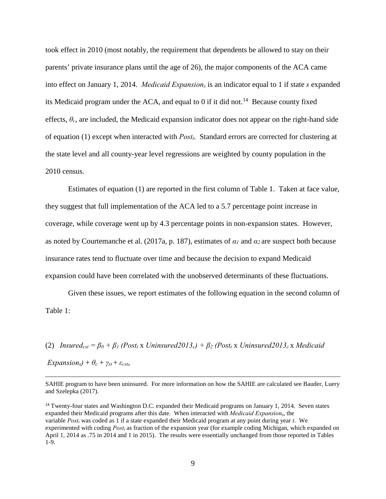took effect in 2010 (most notably, the requirement that dependents be allowed to stay on their parents' private insurance plans until the age of 26), the major components of the ACA came into effect on January 1, 2014. *Medicaid Expansions* is an indicator equal to 1 if state *s* expanded its Medicaid program under the ACA, and equal to 0 if it did not.<sup>14</sup> Because county fixed effects, *θc*, are included, the Medicaid expansion indicator does not appear on the right-hand side of equation (1) except when interacted with *Postt*. Standard errors are corrected for clustering at the state level and all county-year level regressions are weighted by county population in the 2010 census.

 Estimates of equation (1) are reported in the first column of Table 1. Taken at face value, they suggest that full implementation of the ACA led to a 5.7 percentage point increase in coverage, while coverage went up by 4.3 percentage points in non-expansion states. However, as noted by Courtemanche et al. (2017a, p. 187), estimates of *α1* and *α2* are suspect both because insurance rates tend to fluctuate over time and because the decision to expand Medicaid expansion could have been correlated with the unobserved determinants of these fluctuations.

Given these issues, we report estimates of the following equation in the second column of Table 1:

(2) *Insured<sub>cst</sub>* =  $\beta_0 + \beta_1$  (Post<sub>t</sub> x Uninsured2013<sub>c</sub>) +  $\beta_2$  (Post<sub>t</sub> x Uninsured2013<sub>c</sub> x Medicaid

 $Expansion<sub>s</sub>$ ) +  $\theta_c$  +  $\gamma_{st}$  +  $\varepsilon_{cst}$ ,

<span id="page-10-0"></span><sup>14</sup> Twenty-four states and Washington D.C. expanded their Medicaid programs on January 1, 2014. Seven states expanded their Medicaid programs after this date. When interacted with *Medicaid Expansion*s, the variable *Postt* was coded as 1 if a state expanded their Medicaid program at any point during year *t*. We experimented with coding *Postt* as fraction of the expansion year (for example coding Michigan, which expanded on April 1, 2014 as .75 in 2014 and 1 in 2015). The results were essentially unchanged from those reported in Tables 1-9.

SAHIE program to have been uninsured. For more information on how the SAHIE are calculated see Bauder, Luery and Szelepka (2017).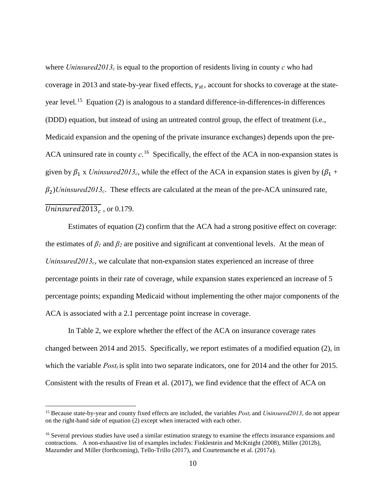where *Uninsured2013<sub>c</sub>* is equal to the proportion of residents living in county *c* who had coverage in 2013 and state-by-year fixed effects,  $\gamma_{st}$ , account for shocks to coverage at the stateyear level.<sup>15</sup> Equation (2) is analogous to a standard difference-in-differences-in differences (DDD) equation, but instead of using an untreated control group, the effect of treatment (i.e., Medicaid expansion and the opening of the private insurance exchanges) depends upon the pre-ACA uninsured rate in county  $c$ <sup>16</sup> Specifically, the effect of the ACA in non-expansion states is given by  $\beta_1$  x *Uninsured2013<sub>c</sub>*, while the effect of the ACA in expansion states is given by  $(\beta_1 +$  $\beta_2$ *Uninsured2013<sub>c</sub>*. These effects are calculated at the mean of the pre-ACA uninsured rate, Uninsured  $2013<sub>c</sub>$ , or 0.179.

Estimates of equation (2) confirm that the ACA had a strong positive effect on coverage: the estimates of  $\beta_1$  and  $\beta_2$  are positive and significant at conventional levels. At the mean of *Uninsured2013<sub>c</sub>*, we calculate that non-expansion states experienced an increase of three percentage points in their rate of coverage, while expansion states experienced an increase of 5 percentage points; expanding Medicaid without implementing the other major components of the ACA is associated with a 2.1 percentage point increase in coverage.

In Table 2, we explore whether the effect of the ACA on insurance coverage rates changed between 2014 and 2015. Specifically, we report estimates of a modified equation (2), in which the variable *Post<sub>t</sub>* is split into two separate indicators, one for 2014 and the other for 2015. Consistent with the results of Frean et al. (2017), we find evidence that the effect of ACA on

<span id="page-11-0"></span><sup>&</sup>lt;sup>15</sup> Because state-by-year and county fixed effects are included, the variables  $Post<sub>t</sub>$  and  $Uninsured2013<sub>c</sub>$  do not appear on the right-hand side of equation (2) except when interacted with each other.

<span id="page-11-1"></span><sup>&</sup>lt;sup>16</sup> Several previous studies have used a similar estimation strategy to examine the effects insurance expansions and contractions. A non-exhaustive list of examples includes: Finklestein and McKnight (2008), Miller (2012b), Mazumder and Miller (forthcoming), Tello-Trillo (2017), and Courtemanche et al. (2017a).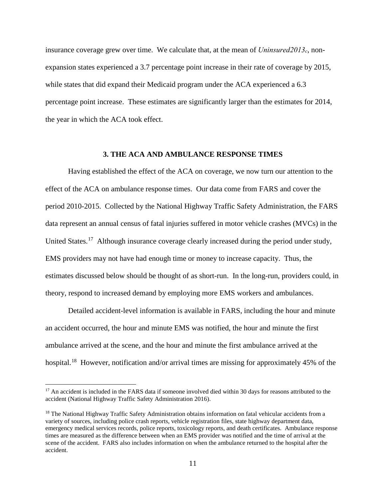insurance coverage grew over time. We calculate that, at the mean of *Uninsured2013c*, nonexpansion states experienced a 3.7 percentage point increase in their rate of coverage by 2015, while states that did expand their Medicaid program under the ACA experienced a 6.3 percentage point increase. These estimates are significantly larger than the estimates for 2014, the year in which the ACA took effect.

### **3. THE ACA AND AMBULANCE RESPONSE TIMES**

Having established the effect of the ACA on coverage, we now turn our attention to the effect of the ACA on ambulance response times. Our data come from FARS and cover the period 2010-2015. Collected by the National Highway Traffic Safety Administration, the FARS data represent an annual census of fatal injuries suffered in motor vehicle crashes (MVCs) in the United States.<sup>17</sup> Although insurance coverage clearly increased during the period under study, EMS providers may not have had enough time or money to increase capacity. Thus, the estimates discussed below should be thought of as short-run. In the long-run, providers could, in theory, respond to increased demand by employing more EMS workers and ambulances.

Detailed accident-level information is available in FARS, including the hour and minute an accident occurred, the hour and minute EMS was notified, the hour and minute the first ambulance arrived at the scene, and the hour and minute the first ambulance arrived at the hospital.<sup>18</sup> However, notification and/or arrival times are missing for approximately 45% of the

<span id="page-12-0"></span><sup>&</sup>lt;sup>17</sup> An accident is included in the FARS data if someone involved died within 30 days for reasons attributed to the accident (National Highway Traffic Safety Administration 2016).

<span id="page-12-1"></span><sup>&</sup>lt;sup>18</sup> The National Highway Traffic Safety Administration obtains information on fatal vehicular accidents from a variety of sources, including police crash reports, vehicle registration files, state highway department data, emergency medical services records, police reports, toxicology reports, and death certificates. Ambulance response times are measured as the difference between when an EMS provider was notified and the time of arrival at the scene of the accident. FARS also includes information on when the ambulance returned to the hospital after the accident.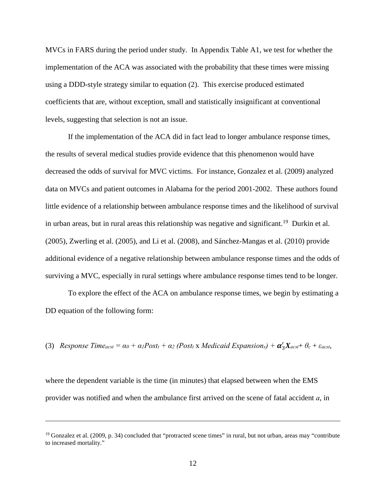MVCs in FARS during the period under study. In Appendix Table A1, we test for whether the implementation of the ACA was associated with the probability that these times were missing using a DDD-style strategy similar to equation (2). This exercise produced estimated coefficients that are, without exception, small and statistically insignificant at conventional levels, suggesting that selection is not an issue.

If the implementation of the ACA did in fact lead to longer ambulance response times, the results of several medical studies provide evidence that this phenomenon would have decreased the odds of survival for MVC victims. For instance, Gonzalez et al. (2009) analyzed data on MVCs and patient outcomes in Alabama for the period 2001-2002. These authors found little evidence of a relationship between ambulance response times and the likelihood of survival in urban areas, but in rural areas this relationship was negative and significant.<sup>[19](#page-13-0)</sup> Durkin et al. (2005), Zwerling et al. (2005), and Li et al. (2008), and Sánchez-Mangas et al. (2010) provide additional evidence of a negative relationship between ambulance response times and the odds of surviving a MVC, especially in rural settings where ambulance response times tend to be longer.

To explore the effect of the ACA on ambulance response times, we begin by estimating a DD equation of the following form:

(3) *Response Time<sub>acst</sub>* =  $\alpha_0 + \alpha_1$ *Post<sub>t</sub>* +  $\alpha_2$  (*Post<sub>t</sub>* x *Medicaid Expansion<sub>s</sub>*) +  $\alpha_3'X_{acst}$ +  $\theta_c$  +  $\varepsilon_{acst}$ ,

where the dependent variable is the time (in minutes) that elapsed between when the EMS provider was notified and when the ambulance first arrived on the scene of fatal accident *a*, in

<span id="page-13-0"></span> $19$  Gonzalez et al. (2009, p. 34) concluded that "protracted scene times" in rural, but not urban, areas may "contribute to increased mortality."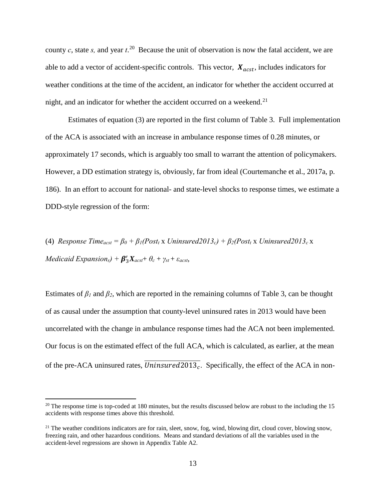county  $c$ , state  $s$ , and year  $t^{20}$  Because the unit of observation is now the fatal accident, we are able to add a vector of accident-specific controls. This vector,  $X_{acst}$ , includes indicators for weather conditions at the time of the accident, an indicator for whether the accident occurred at night, and an indicator for whether the accident occurred on a weekend. $21$ 

Estimates of equation (3) are reported in the first column of Table 3. Full implementation of the ACA is associated with an increase in ambulance response times of 0.28 minutes, or approximately 17 seconds, which is arguably too small to warrant the attention of policymakers. However, a DD estimation strategy is, obviously, far from ideal (Courtemanche et al., 2017a, p. 186). In an effort to account for national- and state-level shocks to response times, we estimate a DDD-style regression of the form:

(4) *Response Time<sub>acst</sub>* =  $\beta_0$  +  $\beta_1$ (*Post<sub>t</sub>* x *Uninsured2013<sub>c</sub>)* +  $\beta_2$ (*Post<sub>t</sub>* x *Uninsured2013<sub>c</sub>* x *Medicaid Expansion<sub>s</sub>* $) + \beta'_{3}X_{acst} + \theta_{c} + \gamma_{st} + \varepsilon_{acst}$ ,

Estimates of  $\beta_1$  and  $\beta_2$ , which are reported in the remaining columns of Table 3, can be thought of as causal under the assumption that county-level uninsured rates in 2013 would have been uncorrelated with the change in ambulance response times had the ACA not been implemented. Our focus is on the estimated effect of the full ACA, which is calculated, as earlier, at the mean of the pre-ACA uninsured rates,  $\overline{Uninsured2013_c}$ . Specifically, the effect of the ACA in non-

<span id="page-14-0"></span> $20$  The response time is top-coded at 180 minutes, but the results discussed below are robust to the including the 15 accidents with response times above this threshold.

<span id="page-14-1"></span><sup>&</sup>lt;sup>21</sup> The weather conditions indicators are for rain, sleet, snow, fog, wind, blowing dirt, cloud cover, blowing snow, freezing rain, and other hazardous conditions. Means and standard deviations of all the variables used in the accident-level regressions are shown in Appendix Table A2.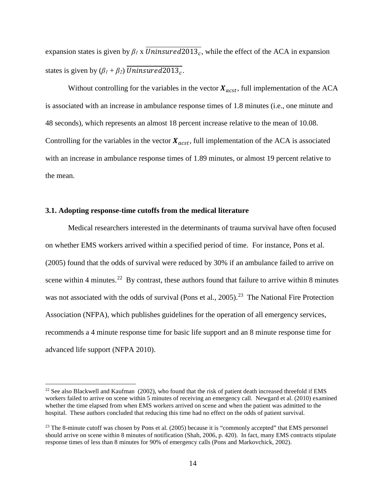expansion states is given by  $\beta_l$  x  $\overline{Uninsured2013_c}$ , while the effect of the ACA in expansion states is given by  $(\beta_1 + \beta_2)$  Uninsured 2013.

Without controlling for the variables in the vector  $X_{acst}$ , full implementation of the ACA is associated with an increase in ambulance response times of 1.8 minutes (i.e., one minute and 48 seconds), which represents an almost 18 percent increase relative to the mean of 10.08. Controlling for the variables in the vector  $X_{acst}$ , full implementation of the ACA is associated with an increase in ambulance response times of 1.89 minutes, or almost 19 percent relative to the mean.

### **3.1. Adopting response-time cutoffs from the medical literature**

 $\overline{a}$ 

Medical researchers interested in the determinants of trauma survival have often focused on whether EMS workers arrived within a specified period of time. For instance, Pons et al. (2005) found that the odds of survival were reduced by 30% if an ambulance failed to arrive on scene within 4 minutes.<sup>[22](#page-15-0)</sup> By contrast, these authors found that failure to arrive within 8 minutes was not associated with the odds of survival (Pons et al., 2005).<sup>[23](#page-15-1)</sup> The National Fire Protection Association (NFPA), which publishes guidelines for the operation of all emergency services, recommends a 4 minute response time for basic life support and an 8 minute response time for advanced life support (NFPA 2010).

<span id="page-15-0"></span><sup>&</sup>lt;sup>22</sup> See also Blackwell and Kaufman (2002), who found that the risk of patient death increased threefold if EMS workers failed to arrive on scene within 5 minutes of receiving an emergency call. Newgard et al. (2010) examined whether the time elapsed from when EMS workers arrived on scene and when the patient was admitted to the hospital. These authors concluded that reducing this time had no effect on the odds of patient survival.

<span id="page-15-1"></span><sup>&</sup>lt;sup>23</sup> The 8-minute cutoff was chosen by Pons et al. (2005) because it is "commonly accepted" that EMS personnel should arrive on scene within 8 minutes of notification (Shah, 2006, p. 420). In fact, many EMS contracts stipulate response times of less than 8 minutes for 90% of emergency calls (Pons and Markovchick, 2002).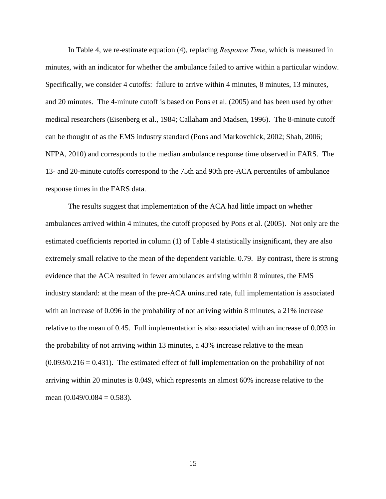In Table 4, we re-estimate equation (4), replacing *Response Time*, which is measured in minutes, with an indicator for whether the ambulance failed to arrive within a particular window. Specifically, we consider 4 cutoffs: failure to arrive within 4 minutes, 8 minutes, 13 minutes, and 20 minutes. The 4-minute cutoff is based on Pons et al. (2005) and has been used by other medical researchers (Eisenberg et al., 1984; Callaham and Madsen, 1996). The 8-minute cutoff can be thought of as the EMS industry standard (Pons and Markovchick, 2002; Shah, 2006; NFPA, 2010) and corresponds to the median ambulance response time observed in FARS. The 13- and 20-minute cutoffs correspond to the 75th and 90th pre-ACA percentiles of ambulance response times in the FARS data.

The results suggest that implementation of the ACA had little impact on whether ambulances arrived within 4 minutes, the cutoff proposed by Pons et al. (2005). Not only are the estimated coefficients reported in column (1) of Table 4 statistically insignificant, they are also extremely small relative to the mean of the dependent variable. 0.79. By contrast, there is strong evidence that the ACA resulted in fewer ambulances arriving within 8 minutes, the EMS industry standard: at the mean of the pre-ACA uninsured rate, full implementation is associated with an increase of 0.096 in the probability of not arriving within 8 minutes, a 21% increase relative to the mean of 0.45. Full implementation is also associated with an increase of 0.093 in the probability of not arriving within 13 minutes, a 43% increase relative to the mean  $(0.093/0.216 = 0.431)$ . The estimated effect of full implementation on the probability of not arriving within 20 minutes is 0.049, which represents an almost 60% increase relative to the mean  $(0.049/0.084 = 0.583)$ .

15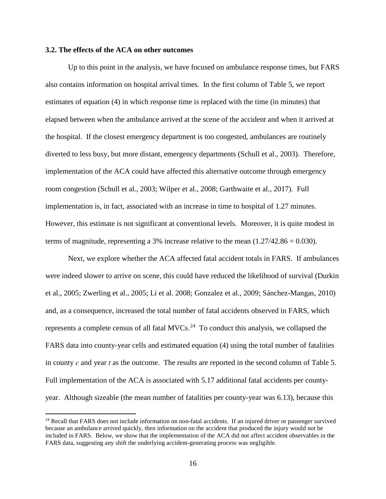### **3.2. The effects of the ACA on other outcomes**

 $\overline{a}$ 

 Up to this point in the analysis, we have focused on ambulance response times, but FARS also contains information on hospital arrival times. In the first column of Table 5, we report estimates of equation (4) in which response time is replaced with the time (in minutes) that elapsed between when the ambulance arrived at the scene of the accident and when it arrived at the hospital. If the closest emergency department is too congested, ambulances are routinely diverted to less busy, but more distant, emergency departments (Schull et al., 2003). Therefore, implementation of the ACA could have affected this alternative outcome through emergency room congestion (Schull et al., 2003; Wilper et al., 2008; Garthwaite et al., 2017). Full implementation is, in fact, associated with an increase in time to hospital of 1.27 minutes. However, this estimate is not significant at conventional levels. Moreover, it is quite modest in terms of magnitude, representing a 3% increase relative to the mean  $(1.27/42.86 = 0.030)$ .

Next, we explore whether the ACA affected fatal accident totals in FARS. If ambulances were indeed slower to arrive on scene, this could have reduced the likelihood of survival (Durkin et al., 2005; Zwerling et al., 2005; Li et al. 2008; Gonzalez et al., 2009; Sánchez-Mangas, 2010) and, as a consequence, increased the total number of fatal accidents observed in FARS, which represents a complete census of all fatal  $MVCs$ .<sup>24</sup> To conduct this analysis, we collapsed the FARS data into county-year cells and estimated equation (4) using the total number of fatalities in county *c* and year *t* as the outcome. The results are reported in the second column of Table 5. Full implementation of the ACA is associated with 5.17 additional fatal accidents per countyyear. Although sizeable (the mean number of fatalities per county-year was 6.13), because this

<span id="page-17-0"></span><sup>&</sup>lt;sup>24</sup> Recall that FARS does not include information on non-fatal accidents. If an injured driver or passenger survived because an ambulance arrived quickly, then information on the accident that produced the injury would not be included in FARS. Below, we show that the implementation of the ACA did not affect accident observables in the FARS data, suggesting any shift the underlying accident-generating process was negligible.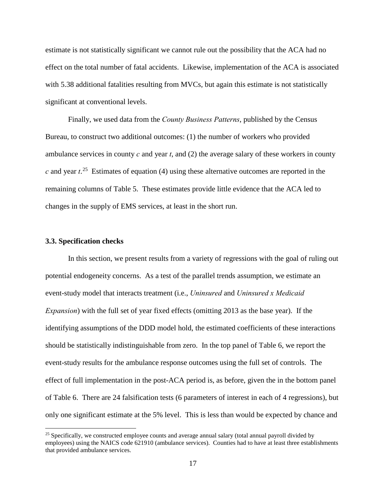estimate is not statistically significant we cannot rule out the possibility that the ACA had no effect on the total number of fatal accidents. Likewise, implementation of the ACA is associated with 5.38 additional fatalities resulting from MVCs, but again this estimate is not statistically significant at conventional levels.

 Finally, we used data from the *County Business Patterns*, published by the Census Bureau, to construct two additional outcomes: (1) the number of workers who provided ambulance services in county *c* and year *t*, and (2) the average salary of these workers in county  $c$  and year  $t^{25}$  $t^{25}$  $t^{25}$ . Estimates of equation (4) using these alternative outcomes are reported in the remaining columns of Table 5. These estimates provide little evidence that the ACA led to changes in the supply of EMS services, at least in the short run.

#### **3.3. Specification checks**

 $\overline{a}$ 

In this section, we present results from a variety of regressions with the goal of ruling out potential endogeneity concerns. As a test of the parallel trends assumption, we estimate an event-study model that interacts treatment (i.e., *Uninsured* and *Uninsured x Medicaid Expansion*) with the full set of year fixed effects (omitting 2013 as the base year). If the identifying assumptions of the DDD model hold, the estimated coefficients of these interactions should be statistically indistinguishable from zero. In the top panel of Table 6, we report the event-study results for the ambulance response outcomes using the full set of controls. The effect of full implementation in the post-ACA period is, as before, given the in the bottom panel of Table 6. There are 24 falsification tests (6 parameters of interest in each of 4 regressions), but only one significant estimate at the 5% level. This is less than would be expected by chance and

<span id="page-18-0"></span> $25$  Specifically, we constructed employee counts and average annual salary (total annual payroll divided by employees) using the NAICS code 621910 (ambulance services). Counties had to have at least three establishments that provided ambulance services.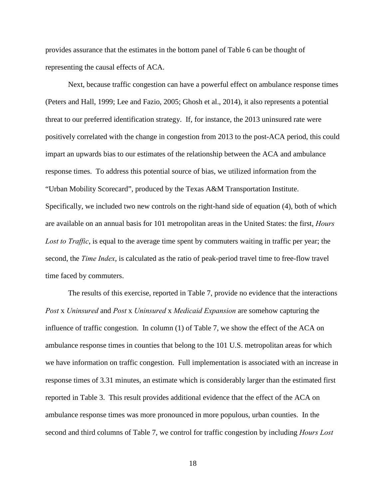provides assurance that the estimates in the bottom panel of Table 6 can be thought of representing the causal effects of ACA.

Next, because traffic congestion can have a powerful effect on ambulance response times (Peters and Hall, 1999; Lee and Fazio, 2005; Ghosh et al., 2014), it also represents a potential threat to our preferred identification strategy. If, for instance, the 2013 uninsured rate were positively correlated with the change in congestion from 2013 to the post-ACA period, this could impart an upwards bias to our estimates of the relationship between the ACA and ambulance response times. To address this potential source of bias, we utilized information from the "Urban Mobility Scorecard", produced by the Texas A&M Transportation Institute. Specifically, we included two new controls on the right-hand side of equation (4), both of which are available on an annual basis for 101 metropolitan areas in the United States: the first, *Hours Lost to Traffic*, is equal to the average time spent by commuters waiting in traffic per year; the second, the *Time Index*, is calculated as the ratio of peak-period travel time to free-flow travel time faced by commuters.

The results of this exercise, reported in Table 7, provide no evidence that the interactions *Post* x *Uninsured* and *Post* x *Uninsured* x *Medicaid Expansion* are somehow capturing the influence of traffic congestion. In column (1) of Table 7, we show the effect of the ACA on ambulance response times in counties that belong to the 101 U.S. metropolitan areas for which we have information on traffic congestion. Full implementation is associated with an increase in response times of 3.31 minutes, an estimate which is considerably larger than the estimated first reported in Table 3. This result provides additional evidence that the effect of the ACA on ambulance response times was more pronounced in more populous, urban counties. In the second and third columns of Table 7, we control for traffic congestion by including *Hours Lost* 

18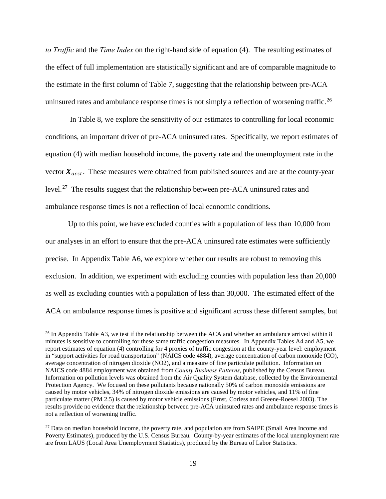*to Traffic* and the *Time Index* on the right-hand side of equation (4). The resulting estimates of the effect of full implementation are statistically significant and are of comparable magnitude to the estimate in the first column of Table 7, suggesting that the relationship between pre-ACA uninsured rates and ambulance response times is not simply a reflection of worsening traffic.<sup>[26](#page-20-0)</sup>

 In Table 8, we explore the sensitivity of our estimates to controlling for local economic conditions, an important driver of pre-ACA uninsured rates. Specifically, we report estimates of equation (4) with median household income, the poverty rate and the unemployment rate in the vector  $X_{acst}$ . These measures were obtained from published sources and are at the county-year level.<sup>[27](#page-20-1)</sup> The results suggest that the relationship between pre-ACA uninsured rates and ambulance response times is not a reflection of local economic conditions.

 Up to this point, we have excluded counties with a population of less than 10,000 from our analyses in an effort to ensure that the pre-ACA uninsured rate estimates were sufficiently precise. In Appendix Table A6, we explore whether our results are robust to removing this exclusion. In addition, we experiment with excluding counties with population less than 20,000 as well as excluding counties with a population of less than 30,000. The estimated effect of the ACA on ambulance response times is positive and significant across these different samples, but

<span id="page-20-0"></span> $26$  In Appendix Table A3, we test if the relationship between the ACA and whether an ambulance arrived within 8 minutes is sensitive to controlling for these same traffic congestion measures. In Appendix Tables A4 and A5, we report estimates of equation (4) controlling for 4 proxies of traffic congestion at the county-year level: employment in "support activities for road transportation" (NAICS code 4884), average concentration of carbon monoxide (CO), average concentration of nitrogen dioxide (NO2), and a measure of fine particulate pollution. Information on NAICS code 4884 employment was obtained from *County Business Patterns*, published by the Census Bureau. Information on pollution levels was obtained from the Air Quality System database, collected by the Environmental Protection Agency. We focused on these pollutants because nationally 50% of carbon monoxide emissions are caused by motor vehicles, 34% of nitrogen dioxide emissions are caused by motor vehicles, and 11% of fine particulate matter (PM 2.5) is caused by motor vehicle emissions (Ernst, Corless and Greene-Roesel 2003). The results provide no evidence that the relationship between pre-ACA uninsured rates and ambulance response times is not a reflection of worsening traffic.

<span id="page-20-1"></span> $27$  Data on median household income, the poverty rate, and population are from SAIPE (Small Area Income and Poverty Estimates), produced by the U.S. Census Bureau. County-by-year estimates of the local unemployment rate are from LAUS (Local Area Unemployment Statistics), produced by the Bureau of Labor Statistics.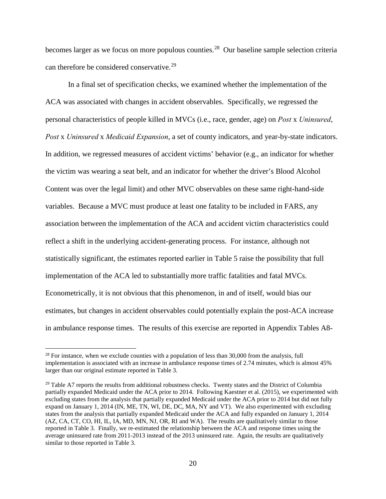becomes larger as we focus on more populous counties.<sup>[28](#page-21-0)</sup> Our baseline sample selection criteria can therefore be considered conservative.<sup>[29](#page-21-1)</sup>

In a final set of specification checks, we examined whether the implementation of the ACA was associated with changes in accident observables. Specifically, we regressed the personal characteristics of people killed in MVCs (i.e., race, gender, age) on *Post* x *Uninsured*, *Post* x *Uninsured* x *Medicaid Expansion*, a set of county indicators, and year-by-state indicators. In addition, we regressed measures of accident victims' behavior (e.g., an indicator for whether the victim was wearing a seat belt, and an indicator for whether the driver's Blood Alcohol Content was over the legal limit) and other MVC observables on these same right-hand-side variables. Because a MVC must produce at least one fatality to be included in FARS, any association between the implementation of the ACA and accident victim characteristics could reflect a shift in the underlying accident-generating process. For instance, although not statistically significant, the estimates reported earlier in Table 5 raise the possibility that full implementation of the ACA led to substantially more traffic fatalities and fatal MVCs. Econometrically, it is not obvious that this phenomenon, in and of itself, would bias our estimates, but changes in accident observables could potentially explain the post-ACA increase in ambulance response times. The results of this exercise are reported in Appendix Tables A8-

<span id="page-21-0"></span> $28$  For instance, when we exclude counties with a population of less than 30,000 from the analysis, full implementation is associated with an increase in ambulance response times of 2.74 minutes, which is almost 45% larger than our original estimate reported in Table 3.

<span id="page-21-1"></span><sup>&</sup>lt;sup>29</sup> Table A7 reports the results from additional robustness checks. Twenty states and the District of Columbia partially expanded Medicaid under the ACA prior to 2014. Following Kaestner et al. (2015), we experimented with excluding states from the analysis that partially expanded Medicaid under the ACA prior to 2014 but did not fully expand on January 1, 2014 (IN, ME, TN, WI, DE, DC, MA, NY and VT). We also experimented with excluding states from the analysis that partially expanded Medicaid under the ACA and fully expanded on January 1, 2014 (AZ, CA, CT, CO, HI, IL, IA, MD, MN, NJ, OR, RI and WA). The results are qualitatively similar to those reported in Table 3. Finally, we re-estimated the relationship between the ACA and response times using the average uninsured rate from 2011-2013 instead of the 2013 uninsured rate. Again, the results are qualitatively similar to those reported in Table 3.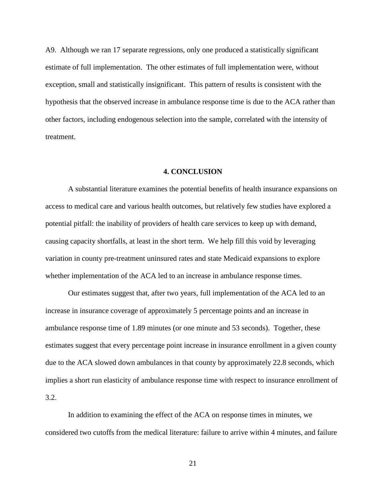A9. Although we ran 17 separate regressions, only one produced a statistically significant estimate of full implementation. The other estimates of full implementation were, without exception, small and statistically insignificant. This pattern of results is consistent with the hypothesis that the observed increase in ambulance response time is due to the ACA rather than other factors, including endogenous selection into the sample, correlated with the intensity of treatment.

#### **4. CONCLUSION**

A substantial literature examines the potential benefits of health insurance expansions on access to medical care and various health outcomes, but relatively few studies have explored a potential pitfall: the inability of providers of health care services to keep up with demand, causing capacity shortfalls, at least in the short term. We help fill this void by leveraging variation in county pre-treatment uninsured rates and state Medicaid expansions to explore whether implementation of the ACA led to an increase in ambulance response times.

Our estimates suggest that, after two years, full implementation of the ACA led to an increase in insurance coverage of approximately 5 percentage points and an increase in ambulance response time of 1.89 minutes (or one minute and 53 seconds). Together, these estimates suggest that every percentage point increase in insurance enrollment in a given county due to the ACA slowed down ambulances in that county by approximately 22.8 seconds, which implies a short run elasticity of ambulance response time with respect to insurance enrollment of 3.2.

In addition to examining the effect of the ACA on response times in minutes, we considered two cutoffs from the medical literature: failure to arrive within 4 minutes, and failure

21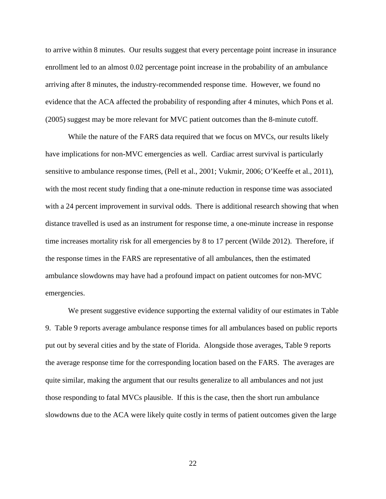to arrive within 8 minutes. Our results suggest that every percentage point increase in insurance enrollment led to an almost 0.02 percentage point increase in the probability of an ambulance arriving after 8 minutes, the industry-recommended response time. However, we found no evidence that the ACA affected the probability of responding after 4 minutes, which Pons et al. (2005) suggest may be more relevant for MVC patient outcomes than the 8-minute cutoff.

While the nature of the FARS data required that we focus on MVCs, our results likely have implications for non-MVC emergencies as well. Cardiac arrest survival is particularly sensitive to ambulance response times, (Pell et al., 2001; Vukmir, 2006; O'Keeffe et al., 2011), with the most recent study finding that a one-minute reduction in response time was associated with a 24 percent improvement in survival odds. There is additional research showing that when distance travelled is used as an instrument for response time, a one-minute increase in response time increases mortality risk for all emergencies by 8 to 17 percent (Wilde 2012). Therefore, if the response times in the FARS are representative of all ambulances, then the estimated ambulance slowdowns may have had a profound impact on patient outcomes for non-MVC emergencies.

We present suggestive evidence supporting the external validity of our estimates in Table 9. Table 9 reports average ambulance response times for all ambulances based on public reports put out by several cities and by the state of Florida. Alongside those averages, Table 9 reports the average response time for the corresponding location based on the FARS. The averages are quite similar, making the argument that our results generalize to all ambulances and not just those responding to fatal MVCs plausible. If this is the case, then the short run ambulance slowdowns due to the ACA were likely quite costly in terms of patient outcomes given the large

22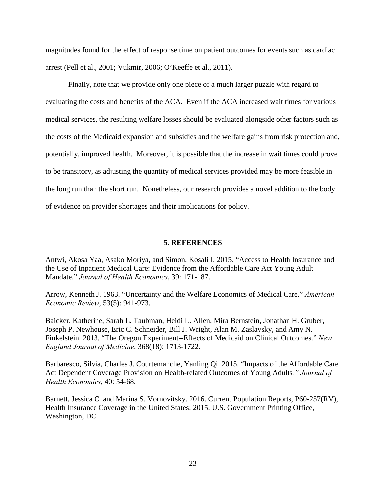magnitudes found for the effect of response time on patient outcomes for events such as cardiac arrest (Pell et al., 2001; Vukmir, 2006; O'Keeffe et al., 2011).

 Finally, note that we provide only one piece of a much larger puzzle with regard to evaluating the costs and benefits of the ACA. Even if the ACA increased wait times for various medical services, the resulting welfare losses should be evaluated alongside other factors such as the costs of the Medicaid expansion and subsidies and the welfare gains from risk protection and, potentially, improved health. Moreover, it is possible that the increase in wait times could prove to be transitory, as adjusting the quantity of medical services provided may be more feasible in the long run than the short run. Nonetheless, our research provides a novel addition to the body of evidence on provider shortages and their implications for policy.

#### **5. REFERENCES**

Antwi, Akosa Yaa, Asako Moriya, and Simon, Kosali I. 2015. "Access to Health Insurance and the Use of Inpatient Medical Care: Evidence from the Affordable Care Act Young Adult Mandate." *Journal of Health Economics*, 39: 171-187.

Arrow, Kenneth J. 1963. "Uncertainty and the Welfare Economics of Medical Care." *American Economic Review*, 53(5): 941-973.

Baicker, Katherine, Sarah L. Taubman, Heidi L. Allen, Mira Bernstein, Jonathan H. Gruber, Joseph P. Newhouse, Eric C. Schneider, Bill J. Wright, Alan M. Zaslavsky, and Amy N. Finkelstein. 2013. "The Oregon Experiment--Effects of Medicaid on Clinical Outcomes." *New England Journal of Medicine*, 368(18): 1713-1722.

Barbaresco, Silvia, Charles J. Courtemanche, Yanling Qi. 2015. "Impacts of the Affordable Care Act Dependent Coverage Provision on Health-related Outcomes of Young Adults*." Journal of Health Economics*, 40: 54-68.

Barnett, Jessica C. and Marina S. Vornovitsky. 2016. Current Population Reports, P60-257(RV), Health Insurance Coverage in the United States: 2015. U.S. Government Printing Office, Washington, DC.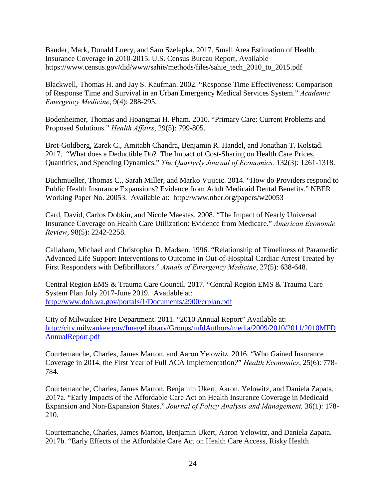Bauder, Mark, Donald Luery, and Sam Szelepka. 2017. Small Area Estimation of Health Insurance Coverage in 2010-2015. U.S. Census Bureau Report, Available https://www.census.gov/did/www/sahie/methods/files/sahie\_tech\_2010\_to\_2015.pdf

Blackwell, Thomas H. and Jay S. Kaufman. 2002. "Response Time Effectiveness: Comparison of Response Time and Survival in an Urban Emergency Medical Services System." *Academic Emergency Medicine*, 9(4): 288-295.

Bodenheimer, Thomas and Hoangmai H. Pham. 2010. "Primary Care: Current Problems and Proposed Solutions." *Health Affairs*, 29(5): 799-805.

Brot-Goldberg, Zarek C., Amitabh Chandra, Benjamin R. Handel, and Jonathan T. Kolstad. 2017. "What does a Deductible Do? The Impact of Cost-Sharing on Health Care Prices, Quantities, and Spending Dynamics." *The Quarterly Journal of Economics,* 132(3): 1261-1318.

Buchmueller, Thomas C., Sarah Miller, and Marko Vujicic. 2014. "How do Providers respond to Public Health Insurance Expansions? Evidence from Adult Medicaid Dental Benefits." NBER Working Paper No. 20053. Available at: http://www.nber.org/papers/w20053

Card, David, Carlos Dobkin, and Nicole Maestas. 2008. "The Impact of Nearly Universal Insurance Coverage on Health Care Utilization: Evidence from Medicare." *American Economic Review*, 98(5): 2242-2258.

Callaham, Michael and Christopher D. Madsen. 1996. "Relationship of Timeliness of Paramedic Advanced Life Support Interventions to Outcome in Out-of-Hospital Cardiac Arrest Treated by First Responders with Defibrillators." *Annals of Emergency Medicine*, 27(5): 638-648.

Central Region EMS & Trauma Care Council. 2017. "Central Region EMS & Trauma Care System Plan July 2017-June 2019. Available at: <http://www.doh.wa.gov/portals/1/Documents/2900/crplan.pdf>

City of Milwaukee Fire Department. 2011. "2010 Annual Report" Available at: [http://city.milwaukee.gov/ImageLibrary/Groups/mfdAuthors/media/2009/2010/2011/2010MFD](http://city.milwaukee.gov/ImageLibrary/Groups/mfdAuthors/media/2009/2010/2011/2010MFDAnnualReport.pdf) [AnnualReport.pdf](http://city.milwaukee.gov/ImageLibrary/Groups/mfdAuthors/media/2009/2010/2011/2010MFDAnnualReport.pdf)

Courtemanche, Charles, James Marton, and Aaron Yelowitz. 2016. "Who Gained Insurance Coverage in 2014, the First Year of Full ACA Implementation*?*" *Health Economics*, 25(6): 778- 784.

Courtemanche, Charles, James Marton, Benjamin Ukert, Aaron. Yelowitz, and Daniela Zapata. 2017a. "Early Impacts of the Affordable Care Act on Health Insurance Coverage in Medicaid Expansion and Non-Expansion States." *Journal of Policy Analysis and Management,* 36(1): 178- 210.

Courtemanche, Charles, James Marton, Benjamin Ukert, Aaron Yelowitz, and Daniela Zapata. 2017b. "Early Effects of the Affordable Care Act on Health Care Access, Risky Health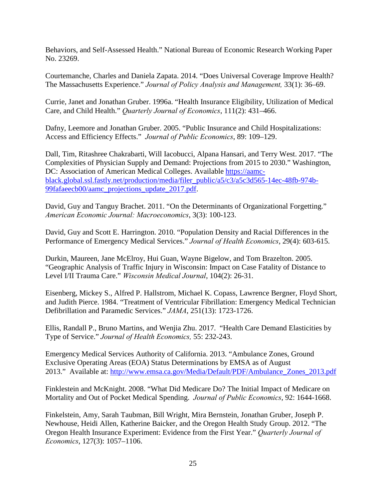Behaviors, and Self-Assessed Health." National Bureau of Economic Research Working Paper No. 23269.

Courtemanche, Charles and Daniela Zapata. 2014. "Does Universal Coverage Improve Health? The Massachusetts Experience." *Journal of Policy Analysis and Management,* 33(1): 36–69.

Currie, Janet and Jonathan Gruber. 1996a. "Health Insurance Eligibility, Utilization of Medical Care, and Child Health." *Quarterly Journal of Economics*, 111(2): 431–466.

Dafny, Leemore and Jonathan Gruber. 2005. "Public Insurance and Child Hospitalizations: Access and Efficiency Effects." *Journal of Public Economics*, 89: 109–129.

Dall, Tim, Ritashree Chakrabarti, Will Iacobucci, Alpana Hansari, and Terry West. 2017. "The Complexities of Physician Supply and Demand: Projections from 2015 to 2030." Washington, DC: Association of American Medical Colleges. Available [https://aamc](https://aamc-black.global.ssl.fastly.net/production/media/filer_public/a5/c3/a5c3d565-14ec-48fb-974b-99fafaeecb00/aamc_projections_update_2017.pdf)[black.global.ssl.fastly.net/production/media/filer\\_public/a5/c3/a5c3d565-14ec-48fb-974b-](https://aamc-black.global.ssl.fastly.net/production/media/filer_public/a5/c3/a5c3d565-14ec-48fb-974b-99fafaeecb00/aamc_projections_update_2017.pdf)[99fafaeecb00/aamc\\_projections\\_update\\_2017.pdf.](https://aamc-black.global.ssl.fastly.net/production/media/filer_public/a5/c3/a5c3d565-14ec-48fb-974b-99fafaeecb00/aamc_projections_update_2017.pdf)

David, Guy and Tanguy Brachet. 2011. "On the Determinants of Organizational Forgetting." *American Economic Journal: Macroeconomics*, 3(3): 100-123.

David, Guy and Scott E. Harrington. 2010. "Population Density and Racial Differences in the Performance of Emergency Medical Services." *Journal of Health Economics*, 29(4): 603-615.

Durkin, Maureen, Jane McElroy, Hui Guan, Wayne Bigelow, and Tom Brazelton. 2005. "Geographic Analysis of Traffic Injury in Wisconsin: Impact on Case Fatality of Distance to Level I/II Trauma Care." *Wisconsin Medical Journal*, 104(2): 26-31.

Eisenberg, Mickey S., Alfred P. Hallstrom, Michael K. Copass, Lawrence Bergner, Floyd Short, and Judith Pierce. 1984. "Treatment of Ventricular Fibrillation: Emergency Medical Technician Defibrillation and Paramedic Services." *JAMA*, 251(13): 1723-1726.

Ellis, Randall P., Bruno Martins, and Wenjia Zhu. 2017. "Health Care Demand Elasticities by Type of Service." *Journal of Health Economics,* 55: 232-243.

Emergency Medical Services Authority of California. 2013. "Ambulance Zones, Ground Exclusive Operating Areas (EOA) Status Determinations by EMSA as of August 2013." Available at: [http://www.emsa.ca.gov/Media/Default/PDF/Ambulance\\_Zones\\_2013.pdf](http://www.emsa.ca.gov/Media/Default/PDF/Ambulance_Zones_2013.pdf)

Finklestein and McKnight. 2008. "What Did Medicare Do? The Initial Impact of Medicare on Mortality and Out of Pocket Medical Spending. *Journal of Public Economics*, 92: 1644-1668.

Finkelstein, Amy, Sarah Taubman, Bill Wright, Mira Bernstein, Jonathan Gruber, Joseph P. Newhouse, Heidi Allen, Katherine Baicker, and the Oregon Health Study Group. 2012. "The Oregon Health Insurance Experiment: Evidence from the First Year." *Quarterly Journal of Economics*, 127(3): 1057–1106.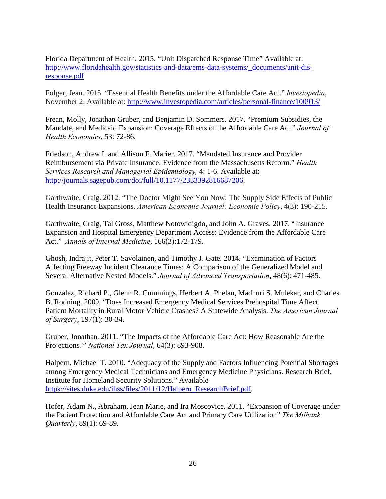Florida Department of Health. 2015. "Unit Dispatched Response Time" Available at: [http://www.floridahealth.gov/statistics-and-data/ems-data-systems/\\_documents/unit-dis](http://www.floridahealth.gov/statistics-and-data/ems-data-systems/_documents/unit-dis-response.pdf)[response.pdf](http://www.floridahealth.gov/statistics-and-data/ems-data-systems/_documents/unit-dis-response.pdf)

Folger, Jean. 2015. "Essential Health Benefits under the Affordable Care Act." *Investopedia*, November 2. Available at:<http://www.investopedia.com/articles/personal-finance/100913/>

Frean, Molly, Jonathan Gruber, and Benjamin D. Sommers. 2017. "Premium Subsidies, the Mandate, and Medicaid Expansion: Coverage Effects of the Affordable Care Act." *Journal of Health Economics*, 53: 72-86.

Friedson, Andrew I. and Allison F. Marier. 2017. "Mandated Insurance and Provider Reimbursement via Private Insurance: Evidence from the Massachusetts Reform." *Health Services Research and Managerial Epidemiology,* 4: 1-6. Available at: [http://journals.sagepub.com/doi/full/10.1177/2333392816687206.](http://journals.sagepub.com/doi/full/10.1177/2333392816687206)

Garthwaite, Craig. 2012. "The Doctor Might See You Now: The Supply Side Effects of Public Health Insurance Expansions. *American Economic Journal: Economic Policy*, 4(3): 190-215.

Garthwaite, Craig, Tal Gross, Matthew Notowidigdo, and John A. Graves. 2017. "Insurance Expansion and Hospital Emergency Department Access: Evidence from the Affordable Care Act." *Annals of Internal Medicine*, 166(3):172-179.

Ghosh, Indrajit, Peter T. Savolainen, and Timothy J. Gate. 2014. "Examination of Factors Affecting Freeway Incident Clearance Times: A Comparison of the Generalized Model and Several Alternative Nested Models." *Journal of Advanced Transportation*, 48(6): 471-485.

Gonzalez, Richard P., Glenn R. Cummings, Herbert A. Phelan, Madhuri S. Mulekar, and Charles B. Rodning. 2009. "Does Increased Emergency Medical Services Prehospital Time Affect Patient Mortality in Rural Motor Vehicle Crashes? A Statewide Analysis. *The American Journal of Surgery*, 197(1): 30-34.

Gruber, Jonathan. 2011. "The Impacts of the Affordable Care Act: How Reasonable Are the Projections?" *National Tax Journal*, 64(3): 893-908.

Halpern, Michael T. 2010. "Adequacy of the Supply and Factors Influencing Potential Shortages among Emergency Medical Technicians and Emergency Medicine Physicians. Research Brief, Institute for Homeland Security Solutions." Available [https://sites.duke.edu/ihss/files/2011/12/Halpern\\_ResearchBrief.pdf.](https://sites.duke.edu/ihss/files/2011/12/Halpern_ResearchBrief.pdf)

Hofer, Adam N., Abraham, Jean Marie, and Ira Moscovice. 2011. "Expansion of Coverage under the Patient Protection and Affordable Care Act and Primary Care Utilization" *The Milbank Quarterly*, 89(1): 69-89.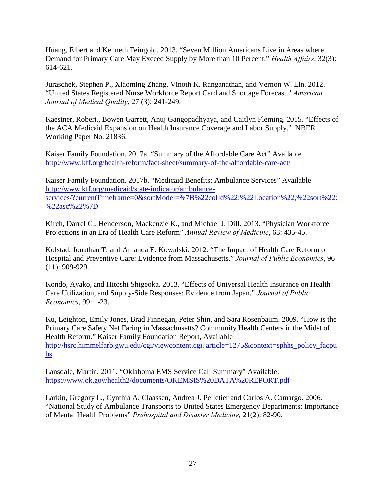Huang, Elbert and Kenneth Feingold. 2013. "Seven Million Americans Live in Areas where Demand for Primary Care May Exceed Supply by More than 10 Percent." *Health Affairs*, 32(3): 614-621.

Juraschek, Stephen P., Xiaoming Zhang, Vinoth K. Ranganathan, and Vernon W. Lin. 2012. "United States Registered Nurse Workforce Report Card and Shortage Forecast." *American Journal of Medical Quality*, 27 (3): 241-249.

Kaestner, Robert., Bowen Garrett, Anuj Gangopadhyaya, and Caitlyn Fleming. 2015. "Effects of the ACA Medicaid Expansion on Health Insurance Coverage and Labor Supply." NBER Working Paper No. 21836.

Kaiser Family Foundation. 2017a. "Summary of the Affordable Care Act" Available <http://www.kff.org/health-reform/fact-sheet/summary-of-the-affordable-care-act/>

Kaiser Family Foundation. 2017b. "Medicaid Benefits: Ambulance Services" Available [http://www.kff.org/medicaid/state-indicator/ambulance](http://www.kff.org/medicaid/state-indicator/ambulance-services/?currentTimeframe=0&sortModel=%7B%22colId%22:%22Location%22,%22sort%22:%22asc%22%7D)[services/?currentTimeframe=0&sortModel=%7B%22colId%22:%22Location%22,%22sort%22:](http://www.kff.org/medicaid/state-indicator/ambulance-services/?currentTimeframe=0&sortModel=%7B%22colId%22:%22Location%22,%22sort%22:%22asc%22%7D) [%22asc%22%7D](http://www.kff.org/medicaid/state-indicator/ambulance-services/?currentTimeframe=0&sortModel=%7B%22colId%22:%22Location%22,%22sort%22:%22asc%22%7D)

Kirch, Darrel G., Henderson, Mackenzie K., and Michael J. Dill. 2013. "Physician Workforce Projections in an Era of Health Care Reform" *Annual Review of Medicine*, 63: 435-45.

Kolstad, Jonathan T. and Amanda E. Kowalski. 2012. "The Impact of Health Care Reform on Hospital and Preventive Care: Evidence from Massachusetts." *Journal of Public Economics*, 96 (11): 909-929.

Kondo, Ayako, and Hitoshi Shigeoka. 2013. "Effects of Universal Health Insurance on Health Care Utilization, and Supply-Side Responses: Evidence from Japan." *Journal of Public Economics*, 99: 1-23.

Ku, Leighton, Emily Jones, Brad Finnegan, Peter Shin, and Sara Rosenbaum. 2009. "How is the Primary Care Safety Net Faring in Massachusetts? Community Health Centers in the Midst of Health Reform." Kaiser Family Foundation Report, Available [http://hsrc.himmelfarb.gwu.edu/cgi/viewcontent.cgi?article=1275&context=sphhs\\_policy\\_facpu](http://hsrc.himmelfarb.gwu.edu/cgi/viewcontent.cgi?article=1275&context=sphhs_policy_facpubs) [bs.](http://hsrc.himmelfarb.gwu.edu/cgi/viewcontent.cgi?article=1275&context=sphhs_policy_facpubs)

Lansdale, Martin. 2011. "Oklahoma EMS Service Call Summary" Available: <https://www.ok.gov/health2/documents/OKEMSIS%20DATA%20REPORT.pdf>

Larkin, Gregory L., Cynthia A. Claassen, Andrea J. Pelletier and Carlos A. Camargo. 2006. "National Study of Ambulance Transports to United States Emergency Departments: Importance of Mental Health Problems" *Prehospital and Disaster Medicine,* 21(2): 82-90.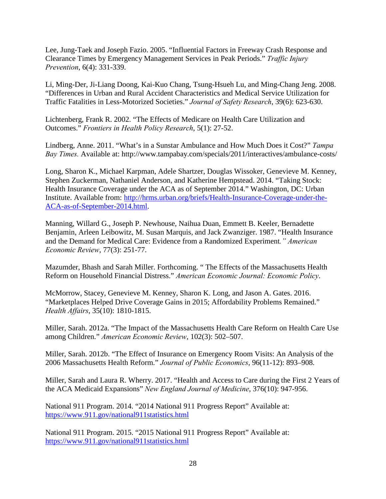Lee, Jung-Taek and Joseph Fazio. 2005. "Influential Factors in Freeway Crash Response and Clearance Times by Emergency Management Services in Peak Periods." *Traffic Injury Prevention*, 6(4): 331-339.

Li, Ming-Der, Ji-Liang Doong, Kai-Kuo Chang, Tsung-Hsueh Lu, and Ming-Chang Jeng. 2008. "Differences in Urban and Rural Accident Characteristics and Medical Service Utilization for Traffic Fatalities in Less-Motorized Societies." *Journal of Safety Research*, 39(6): 623-630.

Lichtenberg, Frank R. 2002. "The Effects of Medicare on Health Care Utilization and Outcomes." *Frontiers in Health Policy Research*, 5(1): 27-52.

Lindberg, Anne. 2011. "What's in a Sunstar Ambulance and How Much Does it Cost?" *Tampa Bay Times.* Available at: http://www.tampabay.com/specials/2011/interactives/ambulance-costs/

Long, Sharon K., Michael Karpman, Adele Shartzer, Douglas Wissoker, Genevieve M. Kenney, Stephen Zuckerman, Nathaniel Anderson, and Katherine Hempstead. 2014. "Taking Stock: Health Insurance Coverage under the ACA as of September 2014." Washington, DC: Urban Institute. Available from: [http://hrms.urban.org/briefs/Health-Insurance-Coverage-under-the-](http://hrms.urban.org/briefs/Health-Insurance-Coverage-under-the-ACA-as-of-September-2014.html)[ACA-as-of-September-2014.html.](http://hrms.urban.org/briefs/Health-Insurance-Coverage-under-the-ACA-as-of-September-2014.html)

Manning, Willard G., Joseph P. Newhouse, Naihua Duan, Emmett B. Keeler, Bernadette Benjamin, Arleen Leibowitz, M. Susan Marquis, and Jack Zwanziger. 1987. "Health Insurance and the Demand for Medical Care: Evidence from a Randomized Experiment*." American Economic Review*, 77(3): 251-77.

Mazumder, Bhash and Sarah Miller. Forthcoming. " The Effects of the Massachusetts Health Reform on Household Financial Distress." *American Economic Journal: Economic Policy*.

McMorrow, Stacey, Genevieve M. Kenney, Sharon K. Long, and Jason A. Gates. 2016. "Marketplaces Helped Drive Coverage Gains in 2015; Affordability Problems Remained." *Health Affairs*, 35(10): 1810-1815.

Miller, Sarah. 2012a. "The Impact of the Massachusetts Health Care Reform on Health Care Use among Children." *American Economic Review*, 102(3): 502–507.

Miller, Sarah. 2012b. "The Effect of Insurance on Emergency Room Visits: An Analysis of the 2006 Massachusetts Health Reform." *Journal of Public Economics*, 96(11-12): 893–908.

Miller, Sarah and Laura R. Wherry. 2017. "Health and Access to Care during the First 2 Years of the ACA Medicaid Expansions" *New England Journal of Medicine*, 376(10): 947-956.

National 911 Program. 2014. "2014 National 911 Progress Report" Available at: <https://www.911.gov/national911statistics.html>

National 911 Program. 2015. "2015 National 911 Progress Report" Available at: <https://www.911.gov/national911statistics.html>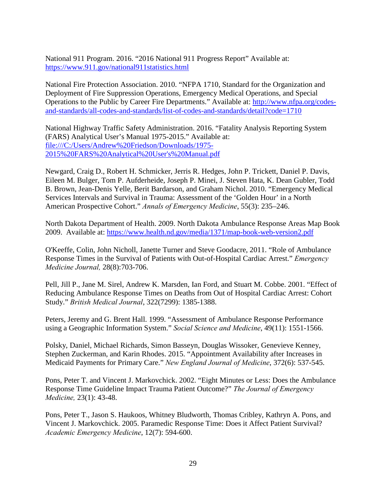National 911 Program. 2016. "2016 National 911 Progress Report" Available at: <https://www.911.gov/national911statistics.html>

National Fire Protection Association. 2010. "NFPA 1710, Standard for the Organization and Deployment of Fire Suppression Operations, Emergency Medical Operations, and Special Operations to the Public by Career Fire Departments." Available at: [http://www.nfpa.org/codes](http://www.nfpa.org/codes-and-standards/all-codes-and-standards/list-of-codes-and-standards/detail?code=1710)[and-standards/all-codes-and-standards/list-of-codes-and-standards/detail?code=1710](http://www.nfpa.org/codes-and-standards/all-codes-and-standards/list-of-codes-and-standards/detail?code=1710)

National Highway Traffic Safety Administration. 2016. "Fatality Analysis Reporting System (FARS) Analytical User's Manual 1975-2015." Available at: file:///C:/Users/Andrew%20Friedson/Downloads/1975- 2015%20FARS%20Analytical%20User's%20Manual.pdf

Newgard, Craig D., Robert H. Schmicker, Jerris R. Hedges, John P. Trickett, Daniel P. Davis, Eileen M. Bulger, Tom P. Aufderheide, Joseph P. Minei, J. Steven Hata, K. Dean Gubler, Todd B. Brown, Jean-Denis Yelle, Berit Bardarson, and Graham Nichol. 2010. "Emergency Medical Services Intervals and Survival in Trauma: Assessment of the 'Golden Hour' in a North American Prospective Cohort." *Annals of Emergency Medicine*, 55(3): 235–246.

North Dakota Department of Health. 2009. North Dakota Ambulance Response Areas Map Book 2009. Available at:<https://www.health.nd.gov/media/1371/map-book-web-version2.pdf>

O'Keeffe, Colin, John Nicholl, Janette Turner and Steve Goodacre, 2011. "Role of Ambulance Response Times in the Survival of Patients with Out-of-Hospital Cardiac Arrest." *Emergency Medicine Journal,* 28(8):703-706.

Pell, Jill P., Jane M. Sirel, Andrew K. Marsden, Ian Ford, and Stuart M. Cobbe. 2001. "Effect of Reducing Ambulance Response Times on Deaths from Out of Hospital Cardiac Arrest: Cohort Study." *British Medical Journal*, 322(7299): 1385-1388.

Peters, Jeremy and G. Brent Hall. 1999. "Assessment of Ambulance Response Performance using a Geographic Information System." *Social Science and Medicine*, 49(11): 1551-1566.

Polsky, Daniel, Michael Richards, Simon Basseyn, Douglas Wissoker, Genevieve Kenney, Stephen Zuckerman, and Karin Rhodes. 2015. "Appointment Availability after Increases in Medicaid Payments for Primary Care." *New England Journal of Medicine*, 372(6): 537-545.

Pons, Peter T. and Vincent J. Markovchick. 2002. "Eight Minutes or Less: Does the Ambulance Response Time Guideline Impact Trauma Patient Outcome?" *The Journal of Emergency Medicine,* 23(1): 43-48.

Pons, Peter T., Jason S. Haukoos, Whitney Bludworth, Thomas Cribley, Kathryn A. Pons, and Vincent J. Markovchick. 2005. Paramedic Response Time: Does it Affect Patient Survival? *Academic Emergency Medicine*, 12(7): 594-600.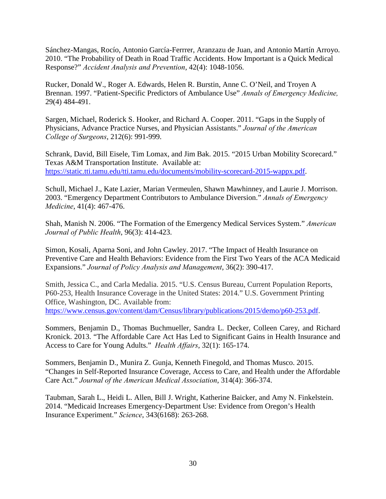Sánchez-Mangas, Rocío, Antonio García-Ferrrer, Aranzazu de Juan, and Antonio Martín Arroyo. 2010. "The Probability of Death in Road Traffic Accidents. How Important is a Quick Medical Response?" *Accident Analysis and Prevention*, 42(4): 1048-1056.

Rucker, Donald W., Roger A. Edwards, Helen R. Burstin, Anne C. O'Neil, and Troyen A Brennan. 1997. "Patient-Specific Predictors of Ambulance Use" *Annals of Emergency Medicine,* 29(4) 484-491.

Sargen, Michael, Roderick S. Hooker, and Richard A. Cooper. 2011. "Gaps in the Supply of Physicians, Advance Practice Nurses, and Physician Assistants." *Journal of the American College of Surgeons*, 212(6): 991-999.

Schrank, David, Bill Eisele, Tim Lomax, and Jim Bak. 2015. "2015 Urban Mobility Scorecard." Texas A&M Transportation Institute. Available at: [https://static.tti.tamu.edu/tti.tamu.edu/documents/mobility-scorecard-2015-wappx.pdf.](https://static.tti.tamu.edu/tti.tamu.edu/documents/mobility-scorecard-2015-wappx.pdf)

Schull, Michael J., Kate Lazier, Marian Vermeulen, Shawn Mawhinney, and Laurie J. Morrison. 2003. "Emergency Department Contributors to Ambulance Diversion." *Annals of Emergency Medicine*, 41(4): 467-476.

Shah, Manish N. 2006. "The Formation of the Emergency Medical Services System." *American Journal of Public Health*, 96(3): 414-423.

Simon, Kosali, Aparna Soni, and John Cawley. 2017. "The Impact of Health Insurance on Preventive Care and Health Behaviors: Evidence from the First Two Years of the ACA Medicaid Expansions." *Journal of Policy Analysis and Management*, 36(2): 390-417.

Smith, Jessica C., and Carla Medalia. 2015. "U.S. Census Bureau, Current Population Reports, P60-253, Health Insurance Coverage in the United States: 2014." U.S. Government Printing Office, Washington, DC. Available from: [https://www.census.gov/content/dam/Census/library/publications/2015/demo/p60-253.pdf.](https://www.census.gov/content/dam/Census/library/publications/2015/demo/p60-253.pdf)

Sommers, Benjamin D., Thomas Buchmueller, Sandra L. Decker, Colleen Carey, and Richard Kronick. 2013. "The Affordable Care Act Has Led to Significant Gains in Health Insurance and Access to Care for Young Adults." *Health Affairs*, 32(1): 165-174.

Sommers, Benjamin D., Munira Z. Gunja, Kenneth Finegold, and Thomas Musco. 2015. "Changes in Self-Reported Insurance Coverage, Access to Care, and Health under the Affordable Care Act." *Journal of the American Medical Association*, 314(4): 366-374.

Taubman, Sarah L., Heidi L. Allen, Bill J. Wright, Katherine Baicker, and Amy N. Finkelstein. 2014. "Medicaid Increases Emergency-Department Use: Evidence from Oregon's Health Insurance Experiment." *Science*, 343(6168): 263-268.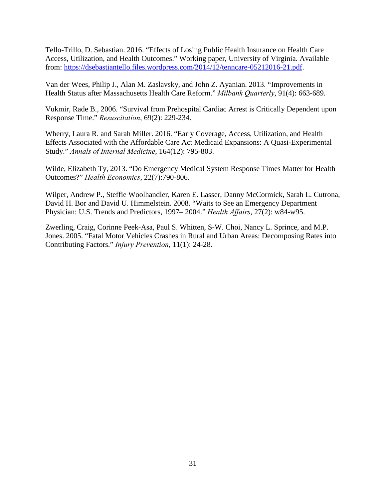Tello-Trillo, D. Sebastian. 2016. "Effects of Losing Public Health Insurance on Health Care Access, Utilization, and Health Outcomes." Working paper, University of Virginia. Available from: [https://dsebastiantello.files.wordpress.com/2014/12/tenncare-05212016-21.pdf.](https://dsebastiantello.files.wordpress.com/2014/12/tenncare-05212016-21.pdf)

Van der Wees, Philip J., Alan M. Zaslavsky, and John Z. Ayanian. 2013. "Improvements in Health Status after Massachusetts Health Care Reform." *Milbank Quarterly*, 91(4): 663-689.

Vukmir, Rade B., 2006. "Survival from Prehospital Cardiac Arrest is Critically Dependent upon Response Time." *Resuscitation*, 69(2): 229-234.

Wherry, Laura R. and Sarah Miller. 2016. "Early Coverage, Access, Utilization, and Health Effects Associated with the Affordable Care Act Medicaid Expansions: A Quasi-Experimental Study." *Annals of Internal Medicine*, 164(12): 795-803.

Wilde, Elizabeth Ty, 2013. "Do Emergency Medical System Response Times Matter for Health Outcomes?" *Health Economics*, 22(7):790-806.

Wilper, Andrew P., Steffie Woolhandler, Karen E. Lasser, Danny McCormick, Sarah L. Cutrona, David H. Bor and David U. Himmelstein. 2008. "Waits to See an Emergency Department Physician: U.S. Trends and Predictors, 1997– 2004." *Health Affairs*, 27(2): w84-w95.

Zwerling, Craig, Corinne Peek-Asa, Paul S. Whitten, S-W. Choi, Nancy L. Sprince, and M.P. Jones. 2005. "Fatal Motor Vehicles Crashes in Rural and Urban Areas: Decomposing Rates into Contributing Factors." *Injury Prevention*, 11(1): 24-28.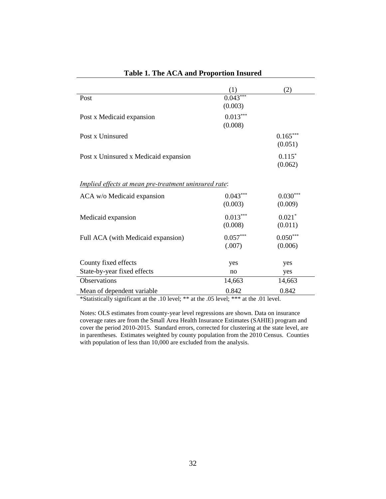|                                                              | (1)        | (2)        |
|--------------------------------------------------------------|------------|------------|
| Post                                                         | $0.043***$ |            |
|                                                              | (0.003)    |            |
| Post x Medicaid expansion                                    | $0.013***$ |            |
|                                                              | (0.008)    |            |
| Post x Uninsured                                             |            | $0.165***$ |
|                                                              |            | (0.051)    |
| Post x Uninsured x Medicaid expansion                        |            | $0.115*$   |
|                                                              |            | (0.062)    |
|                                                              |            |            |
| <u>Implied effects at mean pre-treatment uninsured rate:</u> |            |            |
| ACA w/o Medicaid expansion                                   | $0.043***$ | $0.030***$ |
|                                                              | (0.003)    | (0.009)    |
| Medicaid expansion                                           | $0.013***$ | $0.021*$   |
|                                                              | (0.008)    | (0.011)    |
| Full ACA (with Medicaid expansion)                           | $0.057***$ | $0.050***$ |
|                                                              | (.007)     | (0.006)    |
|                                                              |            |            |
| County fixed effects                                         | yes        | yes        |
| State-by-year fixed effects                                  | no         | yes        |
| <b>Observations</b>                                          | 14,663     | 14,663     |
| Mean of dependent variable                                   | 0.842      | 0.842      |

# **Table 1. The ACA and Proportion Insured**

\*Statistically significant at the .10 level; \*\* at the .05 level; \*\*\* at the .01 level.

Notes: OLS estimates from county-year level regressions are shown. Data on insurance coverage rates are from the Small Area Health Insurance Estimates (SAHIE) program and cover the period 2010-2015. Standard errors, corrected for clustering at the state level, are in parentheses. Estimates weighted by county population from the 2010 Census. Counties with population of less than 10,000 are excluded from the analysis.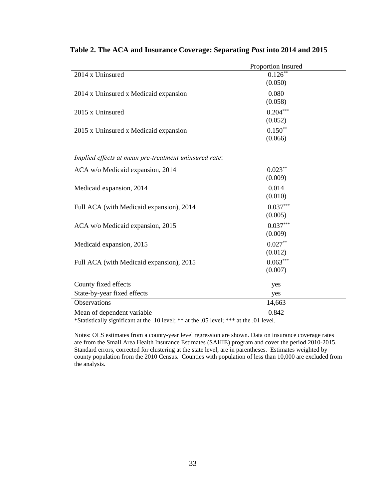|                                                       | Proportion Insured   |
|-------------------------------------------------------|----------------------|
| 2014 x Uninsured                                      | $0.126**$            |
|                                                       | (0.050)              |
| 2014 x Uninsured x Medicaid expansion                 | 0.080                |
|                                                       | (0.058)              |
| 2015 x Uninsured                                      | $0.204***$           |
|                                                       | (0.052)<br>$0.150**$ |
| 2015 x Uninsured x Medicaid expansion                 | (0.066)              |
|                                                       |                      |
| Implied effects at mean pre-treatment uninsured rate: |                      |
| ACA w/o Medicaid expansion, 2014                      | $0.023**$            |
|                                                       | (0.009)              |
| Medicaid expansion, 2014                              | 0.014                |
|                                                       | (0.010)              |
| Full ACA (with Medicaid expansion), 2014              | $0.037***$           |
|                                                       | (0.005)              |
| ACA w/o Medicaid expansion, 2015                      | $0.037***$           |
|                                                       | (0.009)              |
| Medicaid expansion, 2015                              | $0.027**$            |
|                                                       | (0.012)              |
| Full ACA (with Medicaid expansion), 2015              | $0.063***$           |
|                                                       | (0.007)              |
| County fixed effects                                  | yes                  |
| State-by-year fixed effects                           | yes                  |
| Observations                                          | 14,663               |
| Mean of dependent variable                            | 0.842                |

# **Table 2. The ACA and Insurance Coverage: Separating** *Post* **into 2014 and 2015**

\*Statistically significant at the .10 level; \*\* at the .05 level; \*\*\* at the .01 level.

Notes: OLS estimates from a county-year level regression are shown. Data on insurance coverage rates are from the Small Area Health Insurance Estimates (SAHIE) program and cover the period 2010-2015. Standard errors, corrected for clustering at the state level, are in parentheses. Estimates weighted by county population from the 2010 Census. Counties with population of less than 10,000 are excluded from the analysis.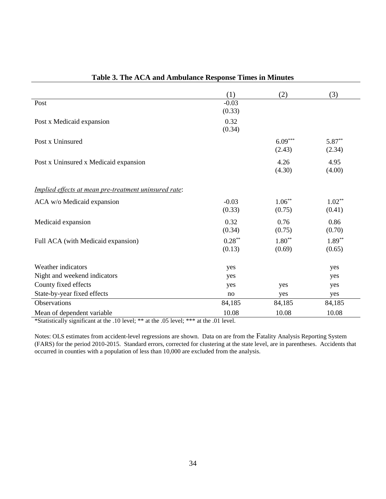|                                                       | (1)                 | (2)                 | (3)                |
|-------------------------------------------------------|---------------------|---------------------|--------------------|
| Post                                                  | $-0.03$<br>(0.33)   |                     |                    |
| Post x Medicaid expansion                             | 0.32<br>(0.34)      |                     |                    |
| Post x Uninsured                                      |                     | $6.09***$<br>(2.43) | $5.87**$<br>(2.34) |
| Post x Uninsured x Medicaid expansion                 |                     | 4.26<br>(4.30)      | 4.95<br>(4.00)     |
| Implied effects at mean pre-treatment uninsured rate: |                     |                     |                    |
| ACA w/o Medicaid expansion                            | $-0.03$<br>(0.33)   | $1.06***$<br>(0.75) | $1.02**$<br>(0.41) |
| Medicaid expansion                                    | 0.32<br>(0.34)      | 0.76<br>(0.75)      | 0.86<br>(0.70)     |
| Full ACA (with Medicaid expansion)                    | $0.28***$<br>(0.13) | $1.80**$<br>(0.69)  | $1.89**$<br>(0.65) |
| Weather indicators                                    | yes                 |                     | yes                |
| Night and weekend indicators                          | yes                 |                     | yes                |
| County fixed effects                                  | yes                 | yes                 | yes                |
| State-by-year fixed effects                           | no                  | yes                 | yes                |
| <b>Observations</b>                                   | 84,185              | 84,185              | 84,185             |
| Mean of dependent variable                            | 10.08               | 10.08               | 10.08              |

# **Table 3. The ACA and Ambulance Response Times in Minutes**

\*Statistically significant at the .10 level; \*\* at the .05 level; \*\*\* at the .01 level.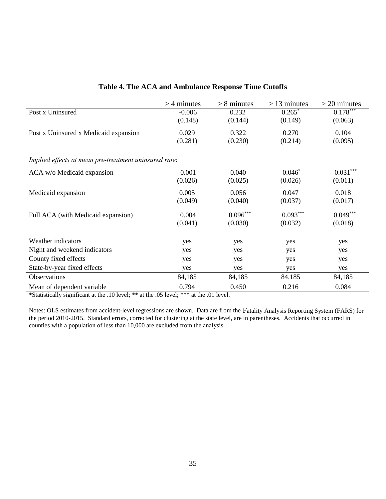|                                                       | $>$ 4 minutes | $> 8$ minutes | $>$ 13 minutes | $>$ 20 minutes |
|-------------------------------------------------------|---------------|---------------|----------------|----------------|
| Post x Uninsured                                      | $-0.006$      | 0.232         | $0.265*$       | $0.178***$     |
|                                                       | (0.148)       | (0.144)       | (0.149)        | (0.063)        |
| Post x Uninsured x Medicaid expansion                 | 0.029         | 0.322         | 0.270          | 0.104          |
|                                                       | (0.281)       | (0.230)       | (0.214)        | (0.095)        |
|                                                       |               |               |                |                |
| Implied effects at mean pre-treatment uninsured rate: |               |               |                |                |
| ACA w/o Medicaid expansion                            | $-0.001$      | 0.040         | $0.046*$       | $0.031***$     |
|                                                       | (0.026)       | (0.025)       | (0.026)        | (0.011)        |
| Medicaid expansion                                    | 0.005         | 0.056         | 0.047          | 0.018          |
|                                                       | (0.049)       | (0.040)       | (0.037)        | (0.017)        |
| Full ACA (with Medicaid expansion)                    | 0.004         | $0.096***$    | $0.093***$     | $0.049***$     |
|                                                       | (0.041)       | (0.030)       | (0.032)        | (0.018)        |
|                                                       |               |               |                |                |
| Weather indicators                                    | yes           | yes           | yes            | yes            |
| Night and weekend indicators                          | yes           | yes           | yes            | yes            |
| County fixed effects                                  | yes           | yes           | yes            | yes            |
| State-by-year fixed effects                           | yes           | yes           | yes            | yes            |
| Observations                                          | 84,185        | 84,185        | 84,185         | 84,185         |
| Mean of dependent variable                            | 0.794         | 0.450         | 0.216          | 0.084          |

# **Table 4. The ACA and Ambulance Response Time Cutoffs**

\*Statistically significant at the .10 level; \*\* at the .05 level; \*\*\* at the .01 level.

j.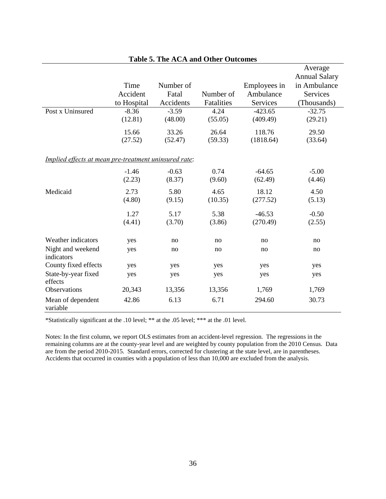|                                                       |             |           |            |              | Average              |
|-------------------------------------------------------|-------------|-----------|------------|--------------|----------------------|
|                                                       |             |           |            |              | <b>Annual Salary</b> |
|                                                       | Time        | Number of |            | Employees in | in Ambulance         |
|                                                       | Accident    | Fatal     | Number of  | Ambulance    | Services             |
|                                                       | to Hospital | Accidents | Fatalities | Services     | (Thousands)          |
| Post x Uninsured                                      | $-8.36$     | $-3.59$   | 4.24       | $-423.65$    | $-32.75$             |
|                                                       | (12.81)     | (48.00)   | (55.05)    | (409.49)     | (29.21)              |
|                                                       | 15.66       | 33.26     | 26.64      | 118.76       | 29.50                |
|                                                       | (27.52)     | (52.47)   | (59.33)    | (1818.64)    | (33.64)              |
| Implied effects at mean pre-treatment uninsured rate: |             |           |            |              |                      |
|                                                       | $-1.46$     | $-0.63$   | 0.74       | $-64.65$     | $-5.00$              |
|                                                       | (2.23)      | (8.37)    | (9.60)     | (62.49)      | (4.46)               |
| Medicaid                                              | 2.73        | 5.80      | 4.65       | 18.12        | 4.50                 |
|                                                       | (4.80)      | (9.15)    | (10.35)    | (277.52)     | (5.13)               |
|                                                       | 1.27        | 5.17      | 5.38       | $-46.53$     | $-0.50$              |
|                                                       | (4.41)      | (3.70)    | (3.86)     | (270.49)     | (2.55)               |
| Weather indicators                                    | yes         | no        | no         | no           | no                   |
|                                                       |             |           |            |              |                      |
| Night and weekend<br>indicators                       | yes         | no        | no         | no           | no                   |
| County fixed effects                                  | yes         | yes       | yes        | yes          | yes                  |
| State-by-year fixed<br>effects                        | yes         | yes       | yes        | yes          | yes                  |
| Observations                                          | 20,343      | 13,356    | 13,356     | 1,769        | 1,769                |
| Mean of dependent<br>variable                         | 42.86       | 6.13      | 6.71       | 294.60       | 30.73                |

### **Table 5. The ACA and Other Outcomes**

\*Statistically significant at the .10 level; \*\* at the .05 level; \*\*\* at the .01 level.

Notes: In the first column, we report OLS estimates from an accident-level regression. The regressions in the remaining columns are at the county-year level and are weighted by county population from the 2010 Census. Data are from the period 2010-2015. Standard errors, corrected for clustering at the state level, are in parentheses. Accidents that occurred in counties with a population of less than 10,000 are excluded from the analysis.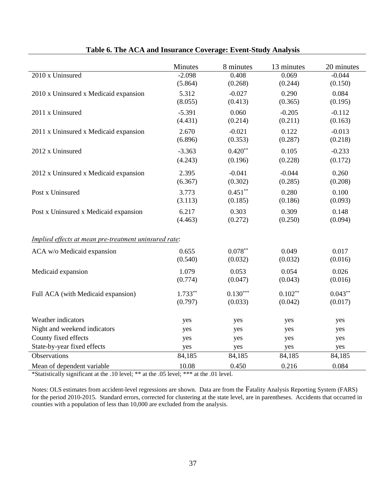|                                                       | Minutes   | 8 minutes  | 13 minutes | 20 minutes |
|-------------------------------------------------------|-----------|------------|------------|------------|
| 2010 x Uninsured                                      | $-2.098$  | 0.408      | 0.069      | $-0.044$   |
|                                                       | (5.864)   | (0.268)    | (0.244)    | (0.150)    |
| 2010 x Uninsured x Medicaid expansion                 | 5.312     | $-0.027$   | 0.290      | 0.084      |
|                                                       | (8.055)   | (0.413)    | (0.365)    | (0.195)    |
| 2011 x Uninsured                                      | $-5.391$  | 0.060      | $-0.205$   | $-0.112$   |
|                                                       | (4.431)   | (0.214)    | (0.211)    | (0.163)    |
| 2011 x Uninsured x Medicaid expansion                 | 2.670     | $-0.021$   | 0.122      | $-0.013$   |
|                                                       | (6.896)   | (0.353)    | (0.287)    | (0.218)    |
| 2012 x Uninsured                                      | $-3.363$  | $0.420**$  | 0.105      | $-0.233$   |
|                                                       | (4.243)   | (0.196)    | (0.228)    | (0.172)    |
| 2012 x Uninsured x Medicaid expansion                 | 2.395     | $-0.041$   | $-0.044$   | 0.260      |
|                                                       | (6.367)   | (0.302)    | (0.285)    | (0.208)    |
| Post x Uninsured                                      | 3.773     | $0.451***$ | 0.280      | 0.100      |
|                                                       | (3.113)   | (0.185)    | (0.186)    | (0.093)    |
| Post x Uninsured x Medicaid expansion                 | 6.217     | 0.303      | 0.309      | 0.148      |
|                                                       | (4.463)   | (0.272)    | (0.250)    | (0.094)    |
| Implied effects at mean pre-treatment uninsured rate: |           |            |            |            |
| ACA w/o Medicaid expansion                            | 0.655     | $0.078**$  | 0.049      | 0.017      |
|                                                       | (0.540)   | (0.032)    | (0.032)    | (0.016)    |
| Medicaid expansion                                    | 1.079     | 0.053      | 0.054      | 0.026      |
|                                                       | (0.774)   | (0.047)    | (0.043)    | (0.016)    |
|                                                       |           |            |            |            |
| Full ACA (with Medicaid expansion)                    | $1.733**$ | $0.130***$ | $0.102**$  | $0.043**$  |
|                                                       | (0.797)   | (0.033)    | (0.042)    | (0.017)    |
| Weather indicators                                    | yes       | yes        | yes        | yes        |
| Night and weekend indicators                          | yes       | yes        | yes        | yes        |
| County fixed effects                                  | yes       | yes        | yes        | yes        |
| State-by-year fixed effects                           | yes       | yes        | yes        | yes        |
| Observations                                          | 84,185    | 84,185     | 84,185     | 84,185     |
| Mean of dependent variable                            | 10.08     | 0.450      | 0.216      | 0.084      |

# **Table 6. The ACA and Insurance Coverage: Event-Study Analysis**

\*Statistically significant at the .10 level; \*\* at the .05 level; \*\*\* at the .01 level.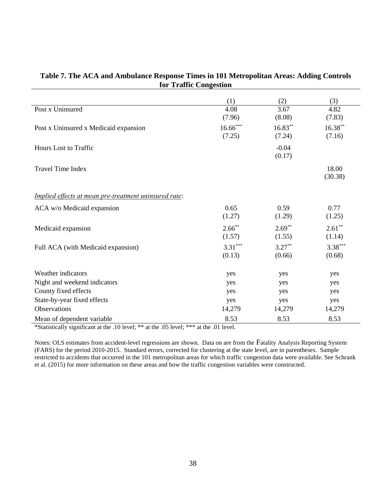|                                                       | (1)        | (2)        | (3)        |
|-------------------------------------------------------|------------|------------|------------|
| Post x Uninsured                                      | 4.08       | 3.67       | 4.82       |
|                                                       | (7.96)     | (8.08)     | (7.83)     |
| Post x Uninsured x Medicaid expansion                 | $16.66***$ | $16.83***$ | $16.38***$ |
|                                                       | (7.25)     | (7.24)     | (7.16)     |
| <b>Hours Lost to Traffic</b>                          |            | $-0.04$    |            |
|                                                       |            | (0.17)     |            |
| <b>Travel Time Index</b>                              |            |            | 18.00      |
|                                                       |            |            | (30.38)    |
| Implied effects at mean pre-treatment uninsured rate: |            |            |            |
| ACA w/o Medicaid expansion                            | 0.65       | 0.59       | 0.77       |
|                                                       | (1.27)     | (1.29)     | (1.25)     |
| Medicaid expansion                                    | $2.66***$  | $2.69**$   | $2.61**$   |
|                                                       | (1.57)     | (1.55)     | (1.14)     |
| Full ACA (with Medicaid expansion)                    | $3.31***$  | $3.27***$  | $3.38***$  |
|                                                       | (0.13)     | (0.66)     | (0.68)     |
| Weather indicators                                    | yes        | yes        | yes        |
| Night and weekend indicators                          | yes        | yes        | yes        |
| County fixed effects                                  | yes        | yes        | yes        |
| State-by-year fixed effects                           | yes        | yes        | yes        |
| <b>Observations</b>                                   | 14,279     | 14,279     | 14,279     |
| Mean of dependent variable                            | 8.53       | 8.53       | 8.53       |

### **Table 7. The ACA and Ambulance Response Times in 101 Metropolitan Areas: Adding Controls for Traffic Congestion**

\*Statistically significant at the .10 level; \*\* at the .05 level; \*\*\* at the .01 level.

Notes: OLS estimates from accident-level regressions are shown. Data on are from the Fatality Analysis Reporting System (FARS) for the period 2010-2015. Standard errors, corrected for clustering at the state level, are in parentheses. Sample restricted to accidents that occurred in the 101 metropolitan areas for which traffic congestion data were available. See Schrank et al. (2015) for more information on these areas and how the traffic congestion variables were constructed.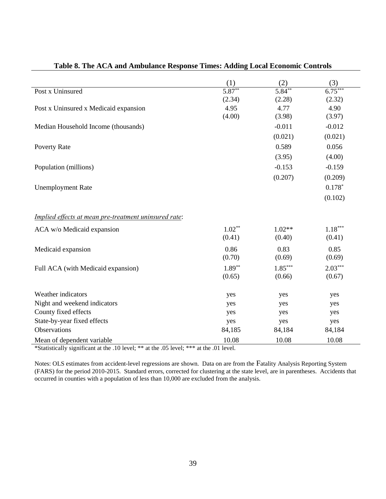|                                                       | (1)      | (2)       | (3)       |
|-------------------------------------------------------|----------|-----------|-----------|
| Post x Uninsured                                      | $5.87**$ | $5.84***$ | $6.75***$ |
|                                                       | (2.34)   | (2.28)    | (2.32)    |
| Post x Uninsured x Medicaid expansion                 | 4.95     | 4.77      | 4.90      |
|                                                       | (4.00)   | (3.98)    | (3.97)    |
| Median Household Income (thousands)                   |          | $-0.011$  | $-0.012$  |
|                                                       |          | (0.021)   | (0.021)   |
| <b>Poverty Rate</b>                                   |          | 0.589     | 0.056     |
|                                                       |          | (3.95)    | (4.00)    |
| Population (millions)                                 |          | $-0.153$  | $-0.159$  |
|                                                       |          | (0.207)   | (0.209)   |
| <b>Unemployment Rate</b>                              |          |           | $0.178*$  |
|                                                       |          |           | (0.102)   |
| Implied effects at mean pre-treatment uninsured rate: |          |           |           |
| ACA w/o Medicaid expansion                            | $1.02**$ | $1.02**$  | $1.18***$ |
|                                                       | (0.41)   | (0.40)    | (0.41)    |
| Medicaid expansion                                    | 0.86     | 0.83      | 0.85      |
|                                                       | (0.70)   | (0.69)    | (0.69)    |
| Full ACA (with Medicaid expansion)                    | $1.89**$ | $1.85***$ | $2.03***$ |
|                                                       | (0.65)   | (0.66)    | (0.67)    |
| Weather indicators                                    | yes      | yes       | yes       |
| Night and weekend indicators                          | yes      | yes       | yes       |
| County fixed effects                                  | yes      | yes       | yes       |
| State-by-year fixed effects                           | yes      | yes       | yes       |
| Observations                                          | 84,185   | 84,184    | 84,184    |
| Mean of dependent variable                            | 10.08    | 10.08     | 10.08     |

# **Table 8. The ACA and Ambulance Response Times: Adding Local Economic Controls**

\*Statistically significant at the .10 level; \*\* at the .05 level; \*\*\* at the .01 level.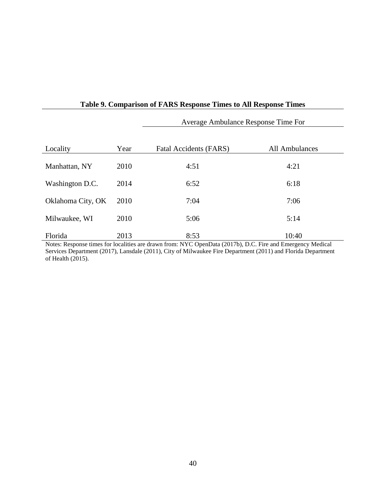|                   |      | Average Ambulance Response Time For |                |  |  |
|-------------------|------|-------------------------------------|----------------|--|--|
| Locality          | Year | Fatal Accidents (FARS)              | All Ambulances |  |  |
| Manhattan, NY     | 2010 | 4:51                                | 4:21           |  |  |
| Washington D.C.   | 2014 | 6:52                                | 6:18           |  |  |
| Oklahoma City, OK | 2010 | 7:04                                | 7:06           |  |  |
| Milwaukee, WI     | 2010 | 5:06                                | 5:14           |  |  |
| Florida           | 2013 | 8:53                                | 10:40          |  |  |

# **Table 9. Comparison of FARS Response Times to All Response Times**

Notes: Response times for localities are drawn from: NYC OpenData (2017b), D.C. Fire and Emergency Medical Services Department (2017), Lansdale (2011), City of Milwaukee Fire Department (2011) and Florida Department of Health (2015).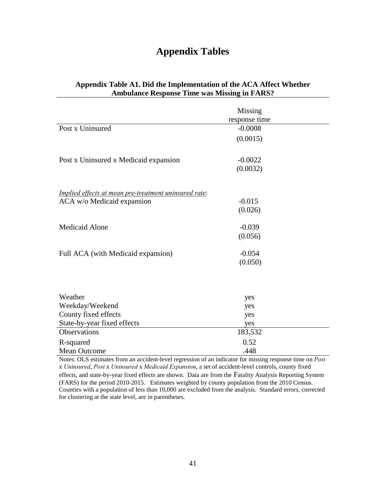# **Appendix Tables**

|                                                       | Missing       |  |
|-------------------------------------------------------|---------------|--|
|                                                       | response time |  |
| Post x Uninsured                                      | $-0.0008$     |  |
|                                                       | (0.0015)      |  |
| Post x Uninsured x Medicaid expansion                 | $-0.0022$     |  |
|                                                       | (0.0032)      |  |
| Implied effects at mean pre-treatment uninsured rate: |               |  |
| ACA w/o Medicaid expansion                            | $-0.015$      |  |
|                                                       | (0.026)       |  |
| <b>Medicaid Alone</b>                                 | $-0.039$      |  |
|                                                       | (0.056)       |  |
| Full ACA (with Medicaid expansion)                    | $-0.054$      |  |
|                                                       | (0.050)       |  |
|                                                       |               |  |
| Weather                                               | yes           |  |
| Weekday/Weekend                                       | yes           |  |
| County fixed effects                                  | yes           |  |
| State-by-year fixed effects                           | yes           |  |
| Observations                                          | 183,532       |  |
| R-squared                                             | 0.52          |  |
| <b>Mean Outcome</b>                                   | .448          |  |

# **Appendix Table A1. Did the Implementation of the ACA Affect Whether Ambulance Response Time was Missing in FARS?**

Notes: OLS estimates from an accident-level regression of an indicator for missing response time on *Post*  x *Uninsured*, *Post* x *Uninsured* x *Medicaid Expansion*, a set of accident-level controls, county fixed

effects, and state-by-year fixed effects are shown. Data are from the Fatality Analysis Reporting System (FARS) for the period 2010-2015. Estimates weighted by county population from the 2010 Census. Counties with a population of less than 10,000 are excluded from the analysis. Standard errors, corrected for clustering at the state level, are in parentheses.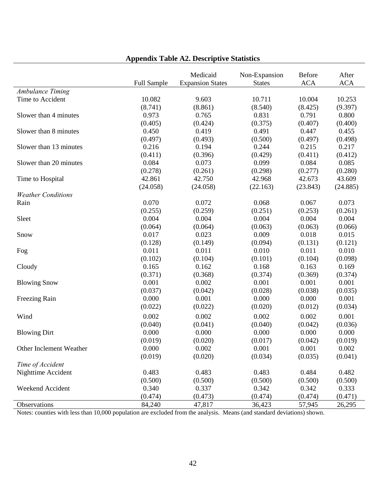|                                             |                    | Medicaid                | Non-Expansion | Before     | After      |
|---------------------------------------------|--------------------|-------------------------|---------------|------------|------------|
|                                             | <b>Full Sample</b> | <b>Expansion States</b> | <b>States</b> | <b>ACA</b> | <b>ACA</b> |
| <b>Ambulance Timing</b><br>Time to Accident | 10.082             | 9.603                   | 10.711        | 10.004     | 10.253     |
|                                             |                    |                         |               |            |            |
|                                             | (8.741)            | (8.861)                 | (8.540)       | (8.425)    | (9.397)    |
| Slower than 4 minutes                       | 0.973              | 0.765                   | 0.831         | 0.791      | 0.800      |
|                                             | (0.405)            | (0.424)                 | (0.375)       | (0.407)    | (0.400)    |
| Slower than 8 minutes                       | 0.450              | 0.419                   | 0.491         | 0.447      | 0.455      |
|                                             | (0.497)            | (0.493)                 | (0.500)       | (0.497)    | (0.498)    |
| Slower than 13 minutes                      | 0.216              | 0.194                   | 0.244         | 0.215      | 0.217      |
|                                             | (0.411)            | (0.396)                 | (0.429)       | (0.411)    | (0.412)    |
| Slower than 20 minutes                      | 0.084              | 0.073                   | 0.099         | 0.084      | 0.085      |
|                                             | (0.278)            | (0.261)                 | (0.298)       | (0.277)    | (0.280)    |
| Time to Hospital                            | 42.861             | 42.750                  | 42.968        | 42.673     | 43.609     |
|                                             | (24.058)           | (24.058)                | (22.163)      | (23.843)   | (24.885)   |
| <b>Weather Conditions</b>                   |                    |                         |               |            |            |
| Rain                                        | 0.070              | 0.072                   | 0.068         | 0.067      | 0.073      |
|                                             | (0.255)            | (0.259)                 | (0.251)       | (0.253)    | (0.261)    |
| Sleet                                       | 0.004              | 0.004                   | 0.004         | 0.004      | 0.004      |
|                                             | (0.064)            | (0.064)                 | (0.063)       | (0.063)    | (0.066)    |
| Snow                                        | 0.017              | 0.023                   | 0.009         | 0.018      | 0.015      |
|                                             | (0.128)            | (0.149)                 | (0.094)       | (0.131)    | (0.121)    |
| Fog                                         | 0.011              | 0.011                   | 0.010         | 0.011      | 0.010      |
|                                             | (0.102)            | (0.104)                 | (0.101)       | (0.104)    | (0.098)    |
| Cloudy                                      | 0.165              | 0.162                   | 0.168         | 0.163      | 0.169      |
|                                             | (0.371)            | (0.368)                 | (0.374)       | (0.369)    | (0.374)    |
| <b>Blowing Snow</b>                         | 0.001              | 0.002                   | 0.001         | 0.001      | 0.001      |
|                                             | (0.037)            | (0.042)                 | (0.028)       | (0.038)    | (0.035)    |
| Freezing Rain                               | 0.000              | 0.001                   | 0.000         | 0.000      | 0.001      |
|                                             | (0.022)            | (0.022)                 | (0.020)       | (0.012)    | (0.034)    |
| Wind                                        | 0.002              | 0.002                   | 0.002         | 0.002      | 0.001      |
|                                             | (0.040)            | (0.041)                 | (0.040)       | (0.042)    | (0.036)    |
| <b>Blowing Dirt</b>                         | 0.000              | 0.000                   | 0.000         | 0.000      | 0.000      |
|                                             | (0.019)            | (0.020)                 | (0.017)       | (0.042)    | (0.019)    |
| Other Inclement Weather                     | 0.000              | 0.002                   | 0.001         | 0.001      | 0.002      |
|                                             | (0.019)            | (0.020)                 | (0.034)       | (0.035)    | (0.041)    |
| Time of Accident                            |                    |                         |               |            |            |
| Nighttime Accident                          | 0.483              | 0.483                   | 0.483         | 0.484      | 0.482      |
|                                             | (0.500)            | (0.500)                 | (0.500)       | (0.500)    | (0.500)    |
| Weekend Accident                            | 0.340              | 0.337                   | 0.342         | 0.342      | 0.333      |
|                                             | (0.474)            | (0.473)                 | (0.474)       | (0.474)    | (0.471)    |
| Observations                                | 84,240             | 47,817                  | 36,423        | 57,945     | 26,295     |

# **Appendix Table A2. Descriptive Statistics**

Notes: counties with less than 10,000 population are excluded from the analysis. Means (and standard deviations) shown.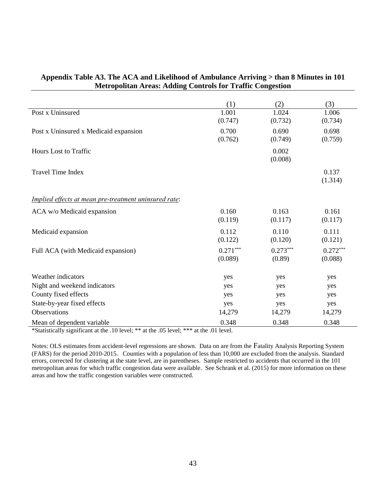|                                                       | (1)                   | (2)                  | (3)                   |
|-------------------------------------------------------|-----------------------|----------------------|-----------------------|
| Post x Uninsured                                      | 1.001<br>(0.747)      | 1.024<br>(0.732)     | 1.006<br>(0.734)      |
| Post x Uninsured x Medicaid expansion                 | 0.700<br>(0.762)      | 0.690<br>(0.749)     | 0.698<br>(0.759)      |
| <b>Hours</b> Lost to Traffic                          |                       | 0.002<br>(0.008)     |                       |
| <b>Travel Time Index</b>                              |                       |                      | 0.137<br>(1.314)      |
| Implied effects at mean pre-treatment uninsured rate: |                       |                      |                       |
| ACA w/o Medicaid expansion                            | 0.160<br>(0.119)      | 0.163<br>(0.117)     | 0.161<br>(0.117)      |
| Medicaid expansion                                    | 0.112<br>(0.122)      | 0.110<br>(0.120)     | 0.111<br>(0.121)      |
| Full ACA (with Medicaid expansion)                    | $0.271***$<br>(0.089) | $0.273***$<br>(0.89) | $0.272***$<br>(0.088) |
| Weather indicators                                    | yes                   | yes                  | yes                   |
| Night and weekend indicators                          | yes                   | yes                  | yes                   |
| County fixed effects                                  | yes                   | yes                  | yes                   |
| State-by-year fixed effects                           | yes                   | yes                  | yes                   |
| <b>Observations</b>                                   | 14,279                | 14,279               | 14,279                |
| Mean of dependent variable                            | 0.348                 | 0.348                | 0.348                 |

### **Appendix Table A3. The ACA and Likelihood of Ambulance Arriving > than 8 Minutes in 101 Metropolitan Areas: Adding Controls for Traffic Congestion**

\*Statistically significant at the .10 level; \*\* at the .05 level; \*\*\* at the .01 level.

Notes: OLS estimates from accident-level regressions are shown. Data on are from the Fatality Analysis Reporting System (FARS) for the period 2010-2015. Counties with a population of less than 10,000 are excluded from the analysis. Standard errors, corrected for clustering at the state level, are in parentheses. Sample restricted to accidents that occurred in the 101 metropolitan areas for which traffic congestion data were available. See Schrank et al. (2015) for more information on these areas and how the traffic congestion variables were constructed.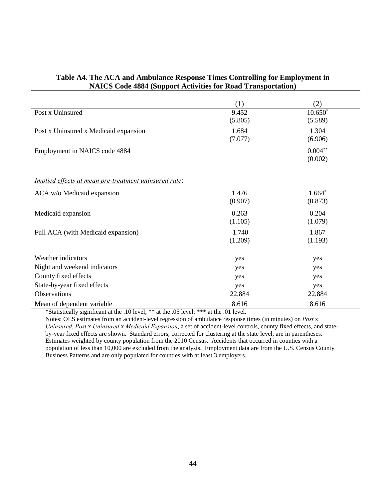|                                                       | (1)     | (2)        |
|-------------------------------------------------------|---------|------------|
| Post x Uninsured                                      | 9.452   | $10.650*$  |
|                                                       | (5.805) | (5.589)    |
| Post x Uninsured x Medicaid expansion                 | 1.684   | 1.304      |
|                                                       | (7.077) | (6.906)    |
| Employment in NAICS code 4884                         |         | $0.004***$ |
|                                                       |         | (0.002)    |
| Implied effects at mean pre-treatment uninsured rate: |         |            |
|                                                       |         |            |
| ACA w/o Medicaid expansion                            | 1.476   | $1.664*$   |
|                                                       | (0.907) | (0.873)    |
| Medicaid expansion                                    | 0.263   | 0.204      |
|                                                       | (1.105) | (1.079)    |
| Full ACA (with Medicaid expansion)                    | 1.740   | 1.867      |
|                                                       | (1.209) | (1.193)    |
| Weather indicators                                    | yes     | yes        |
| Night and weekend indicators                          | yes     | yes        |
| County fixed effects                                  | yes     | yes        |
| State-by-year fixed effects                           | yes     | yes        |
| Observations                                          | 22,884  | 22,884     |
| Mean of dependent variable                            | 8.616   | 8.616      |

### **Table A4. The ACA and Ambulance Response Times Controlling for Employment in NAICS Code 4884 (Support Activities for Road Transportation)**

\*Statistically significant at the .10 level; \*\* at the .05 level; \*\*\* at the .01 level.

Notes: OLS estimates from an accident-level regression of ambulance response times (in minutes) on *Post* x *Uninsured*, *Post* x *Uninsured* x *Medicaid Expansion*, a set of accident-level controls, county fixed effects, and stateby-year fixed effects are shown. Standard errors, corrected for clustering at the state level, are in parentheses. Estimates weighted by county population from the 2010 Census. Accidents that occurred in counties with a population of less than 10,000 are excluded from the analysis. Employment data are from the U.S. Census County Business Patterns and are only populated for counties with at least 3 employers.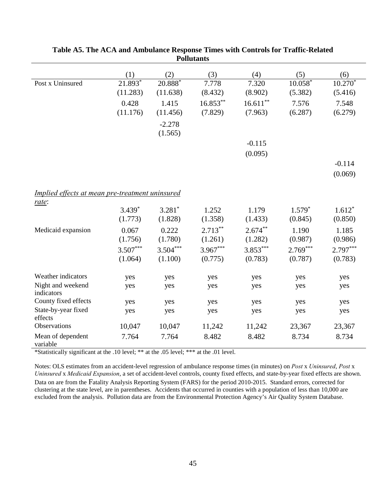|                                                 | (1)        | (2)        | (3)         | (4)         | (5)        | (6)        |
|-------------------------------------------------|------------|------------|-------------|-------------|------------|------------|
| Post x Uninsured                                | $21.893*$  | $20.888^*$ | 7.778       | 7.320       | $10.058*$  | $10.270*$  |
|                                                 | (11.283)   | (11.638)   | (8.432)     | (8.902)     | (5.382)    | (5.416)    |
|                                                 | 0.428      | 1.415      | $16.853***$ | $16.611***$ | 7.576      | 7.548      |
|                                                 | (11.176)   | (11.456)   | (7.829)     | (7.963)     | (6.287)    | (6.279)    |
|                                                 |            | $-2.278$   |             |             |            |            |
|                                                 |            | (1.565)    |             |             |            |            |
|                                                 |            |            |             | $-0.115$    |            |            |
|                                                 |            |            |             | (0.095)     |            |            |
|                                                 |            |            |             |             |            | $-0.114$   |
|                                                 |            |            |             |             |            |            |
|                                                 |            |            |             |             |            | (0.069)    |
|                                                 |            |            |             |             |            |            |
| Implied effects at mean pre-treatment uninsured |            |            |             |             |            |            |
| rate:                                           | $3.439*$   | $3.281*$   | 1.252       | 1.179       | $1.579*$   | $1.612*$   |
|                                                 | (1.773)    | (1.828)    | (1.358)     | (1.433)     | (0.845)    | (0.850)    |
|                                                 |            |            |             |             |            |            |
| Medicaid expansion                              | 0.067      | 0.222      | $2.713***$  | $2.674***$  | 1.190      | 1.185      |
|                                                 | (1.756)    | (1.780)    | (1.261)     | (1.282)     | (0.987)    | (0.986)    |
|                                                 | $3.507***$ | $3.504***$ | $3.967***$  | $3.853***$  | $2.769***$ | $2.797***$ |
|                                                 | (1.064)    | (1.100)    | (0.775)     | (0.783)     | (0.787)    | (0.783)    |
| Weather indicators                              |            |            |             |             |            |            |
|                                                 | yes        | yes        | yes         | yes         | yes        | yes        |
| Night and weekend<br>indicators                 | yes        | yes        | yes         | yes         | yes        | yes        |
| County fixed effects                            | yes        | yes        | yes         | yes         | yes        | yes        |
| State-by-year fixed                             | yes        | yes        | yes         | yes         | yes        | yes        |
| effects                                         |            |            |             |             |            |            |
| Observations                                    | 10,047     | 10,047     | 11,242      | 11,242      | 23,367     | 23,367     |
| Mean of dependent                               | 7.764      | 7.764      | 8.482       | 8.482       | 8.734      | 8.734      |
| variable                                        |            |            |             |             |            |            |

**Table A5. The ACA and Ambulance Response Times with Controls for Traffic-Related Pollutants**

\*Statistically significant at the .10 level; \*\* at the .05 level; \*\*\* at the .01 level.

Notes: OLS estimates from an accident-level regression of ambulance response times (in minutes) on *Post* x *Uninsured*, *Post* x *Uninsured* x *Medicaid Expansion*, a set of accident-level controls, county fixed effects, and state-by-year fixed effects are shown. Data on are from the Fatality Analysis Reporting System (FARS) for the period 2010-2015. Standard errors, corrected for clustering at the state level, are in parentheses. Accidents that occurred in counties with a population of less than 10,000 are excluded from the analysis. Pollution data are from the Environmental Protection Agency's Air Quality System Database.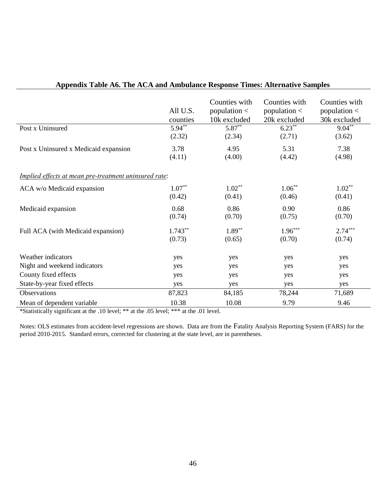| Post x Uninsured                                      | All U.S.<br>counties<br>$5.94**$ | Counties with<br>population $\lt$<br>10k excluded<br>5.87** | Counties with<br>population $\lt$<br>20k excluded<br>$6.23**$ | Counties with<br>population $\lt$<br>30k excluded<br>$9.04***$ |
|-------------------------------------------------------|----------------------------------|-------------------------------------------------------------|---------------------------------------------------------------|----------------------------------------------------------------|
|                                                       | (2.32)                           | (2.34)                                                      | (2.71)                                                        | (3.62)                                                         |
| Post x Uninsured x Medicaid expansion                 | 3.78<br>(4.11)                   | 4.95<br>(4.00)                                              | 5.31<br>(4.42)                                                | 7.38<br>(4.98)                                                 |
| Implied effects at mean pre-treatment uninsured rate: |                                  |                                                             |                                                               |                                                                |
| ACA w/o Medicaid expansion                            | $1.07**$<br>(0.42)               | $1.02**$<br>(0.41)                                          | $1.06***$<br>(0.46)                                           | $1.02**$<br>(0.41)                                             |
| Medicaid expansion                                    | 0.68<br>(0.74)                   | 0.86<br>(0.70)                                              | 0.90<br>(0.75)                                                | 0.86<br>(0.70)                                                 |
| Full ACA (with Medicaid expansion)                    | $1.743**$<br>(0.73)              | $1.89**$<br>(0.65)                                          | $1.96***$<br>(0.70)                                           | $2.74***$<br>(0.74)                                            |
| Weather indicators                                    | yes                              | yes                                                         | yes                                                           | yes                                                            |
| Night and weekend indicators                          | yes                              | yes                                                         | yes                                                           | yes                                                            |
| County fixed effects                                  | yes                              | yes                                                         | yes                                                           | yes                                                            |
| State-by-year fixed effects                           | yes                              | yes                                                         | yes                                                           | yes                                                            |
| Observations                                          | 87,823                           | 84,185                                                      | 78,244                                                        | 71,689                                                         |
| Mean of dependent variable                            | 10.38                            | 10.08                                                       | 9.79                                                          | 9.46                                                           |

# **Appendix Table A6. The ACA and Ambulance Response Times: Alternative Samples**

\*Statistically significant at the .10 level; \*\* at the .05 level; \*\*\* at the .01 level.

Notes: OLS estimates from accident-level regressions are shown. Data are from the Fatality Analysis Reporting System (FARS) for the period 2010-2015. Standard errors, corrected for clustering at the state level, are in parentheses.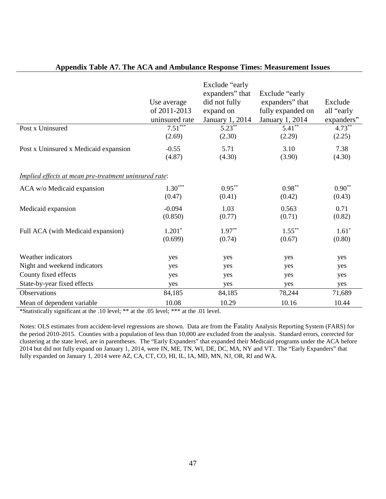|                                                       | Use average<br>of 2011-2013<br>uninsured rate | Exclude "early<br>expanders" that<br>did not fully<br>expand on<br>January 1, 2014 | Exclude "early<br>expanders" that<br>fully expanded on<br>January 1, 2014 | Exclude<br>all "early<br>expanders" |
|-------------------------------------------------------|-----------------------------------------------|------------------------------------------------------------------------------------|---------------------------------------------------------------------------|-------------------------------------|
| Post x Uninsured                                      | $7.51***$<br>(2.69)                           | $5.23***$<br>(2.30)                                                                | $5.41***$<br>(2.29)                                                       | $4.73***$<br>(2.25)                 |
| Post x Uninsured x Medicaid expansion                 | $-0.55$<br>(4.87)                             | 5.71<br>(4.30)                                                                     | 3.10<br>(3.90)                                                            | 7.38<br>(4.30)                      |
| Implied effects at mean pre-treatment uninsured rate: |                                               |                                                                                    |                                                                           |                                     |
| ACA w/o Medicaid expansion                            | $1.30***$<br>(0.47)                           | $0.95***$<br>(0.41)                                                                | $0.98**$<br>(0.42)                                                        | $0.90**$<br>(0.43)                  |
| Medicaid expansion                                    | $-0.094$<br>(0.850)                           | 1.03<br>(0.77)                                                                     | 0.563<br>(0.71)                                                           | 0.71<br>(0.82)                      |
| Full ACA (with Medicaid expansion)                    | $1.201*$<br>(0.699)                           | $1.97**$<br>(0.74)                                                                 | $1.55***$<br>(0.67)                                                       | $1.61*$<br>(0.80)                   |
| Weather indicators                                    | yes                                           | yes                                                                                | yes                                                                       | yes                                 |
| Night and weekend indicators                          | yes                                           | yes                                                                                | yes                                                                       | yes                                 |
| County fixed effects                                  | yes                                           | yes                                                                                | yes                                                                       | yes                                 |
| State-by-year fixed effects                           | yes                                           | yes                                                                                | yes                                                                       | yes                                 |
| Observations                                          | 84,185                                        | 84,185                                                                             | 78,244                                                                    | 71,689                              |
| Mean of dependent variable                            | 10.08                                         | 10.29                                                                              | 10.16                                                                     | 10.44                               |

# **Appendix Table A7. The ACA and Ambulance Response Times: Measurement Issues**

\*Statistically significant at the .10 level; \*\* at the .05 level; \*\*\* at the .01 level.

Notes: OLS estimates from accident-level regressions are shown. Data are from the Fatality Analysis Reporting System (FARS) for the period 2010-2015. Counties with a population of less than 10,000 are excluded from the analysis. Standard errors, corrected for clustering at the state level, are in parentheses. The "Early Expanders" that expanded their Medicaid programs under the ACA before 2014 but did not fully expand on January 1, 2014, were IN, ME, TN, WI, DE, DC, MA, NY and VT. The "Early Expanders" that fully expanded on January 1, 2014 were AZ, CA, CT, CO, HI, IL, IA, MD, MN, NJ, OR, RI and WA.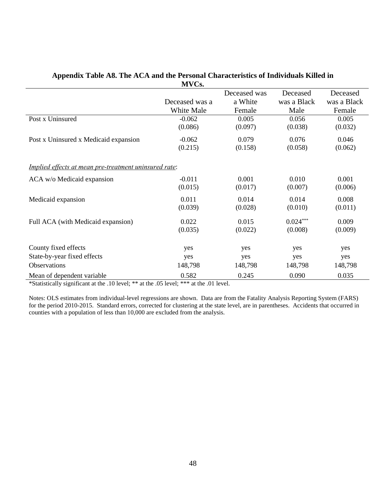|                                                              | ᄭᄼ             |              |             |             |
|--------------------------------------------------------------|----------------|--------------|-------------|-------------|
|                                                              |                | Deceased was | Deceased    | Deceased    |
|                                                              | Deceased was a | a White      | was a Black | was a Black |
|                                                              | White Male     | Female       | Male        | Female      |
| Post x Uninsured                                             | $-0.062$       | 0.005        | 0.056       | 0.005       |
|                                                              | (0.086)        | (0.097)      | (0.038)     | (0.032)     |
| Post x Uninsured x Medicaid expansion                        | $-0.062$       | 0.079        | 0.076       | 0.046       |
|                                                              | (0.215)        | (0.158)      | (0.058)     | (0.062)     |
| <u>Implied effects at mean pre-treatment uninsured rate:</u> |                |              |             |             |
| ACA w/o Medicaid expansion                                   | $-0.011$       | 0.001        | 0.010       | 0.001       |
|                                                              | (0.015)        | (0.017)      | (0.007)     | (0.006)     |
| Medicaid expansion                                           | 0.011          | 0.014        | 0.014       | 0.008       |
|                                                              | (0.039)        | (0.028)      | (0.010)     | (0.011)     |
| Full ACA (with Medicaid expansion)                           | 0.022          | 0.015        | $0.024***$  | 0.009       |
|                                                              | (0.035)        | (0.022)      | (0.008)     | (0.009)     |
| County fixed effects                                         |                |              | yes         |             |
|                                                              | yes            | yes          |             | yes         |
| State-by-year fixed effects                                  | yes            | yes          | yes         | yes         |
| Observations                                                 | 148,798        | 148,798      | 148,798     | 148,798     |
| Mean of dependent variable                                   | 0.582          | 0.245        | 0.090       | 0.035       |

#### **Appendix Table A8. The ACA and the Personal Characteristics of Individuals Killed in MVCs.**

\*Statistically significant at the .10 level; \*\* at the .05 level; \*\*\* at the .01 level.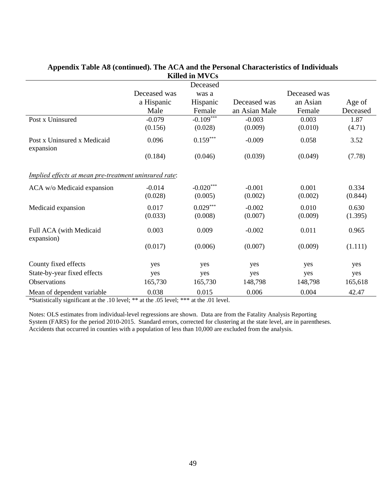| 111110 111 111 1 00                                          |              |             |               |              |          |  |  |
|--------------------------------------------------------------|--------------|-------------|---------------|--------------|----------|--|--|
| Deceased                                                     |              |             |               |              |          |  |  |
|                                                              | Deceased was | was a       |               | Deceased was |          |  |  |
|                                                              | a Hispanic   | Hispanic    | Deceased was  | an Asian     | Age of   |  |  |
|                                                              | Male         | Female      | an Asian Male | Female       | Deceased |  |  |
| Post x Uninsured                                             | $-0.079$     | $-0.109***$ | $-0.003$      | 0.003        | 1.87     |  |  |
|                                                              | (0.156)      | (0.028)     | (0.009)       | (0.010)      | (4.71)   |  |  |
| Post x Uninsured x Medicaid<br>expansion                     | 0.096        | $0.159***$  | $-0.009$      | 0.058        | 3.52     |  |  |
|                                                              | (0.184)      | (0.046)     | (0.039)       | (0.049)      | (7.78)   |  |  |
| <i>Implied effects at mean pre-treatment uninsured rate:</i> |              |             |               |              |          |  |  |
| ACA w/o Medicaid expansion                                   | $-0.014$     | $-0.020***$ | $-0.001$      | 0.001        | 0.334    |  |  |
|                                                              | (0.028)      | (0.005)     | (0.002)       | (0.002)      | (0.844)  |  |  |
| Medicaid expansion                                           | 0.017        | $0.029***$  | $-0.002$      | 0.010        | 0.630    |  |  |
|                                                              | (0.033)      | (0.008)     | (0.007)       | (0.009)      | (1.395)  |  |  |
| Full ACA (with Medicaid<br>expansion)                        | 0.003        | 0.009       | $-0.002$      | 0.011        | 0.965    |  |  |
|                                                              | (0.017)      | (0.006)     | (0.007)       | (0.009)      | (1.111)  |  |  |
| County fixed effects                                         | yes          | yes         | yes           | yes          | yes      |  |  |
| State-by-year fixed effects                                  | yes          | yes         | yes           | yes          | yes      |  |  |
| Observations                                                 | 165,730      | 165,730     | 148,798       | 148,798      | 165,618  |  |  |
| Mean of dependent variable                                   | 0.038        | 0.015       | 0.006         | 0.004        | 42.47    |  |  |

### **Appendix Table A8 (continued). The ACA and the Personal Characteristics of Individuals Killed in MVCs**

\*Statistically significant at the .10 level; \*\* at the .05 level; \*\*\* at the .01 level.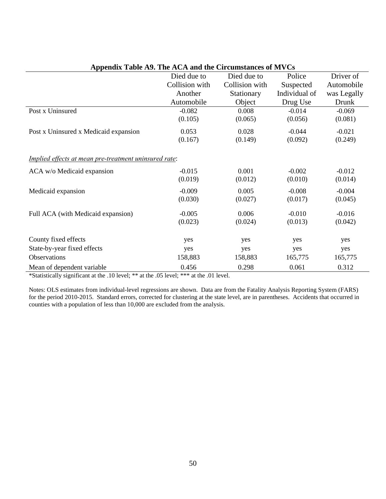| $\Delta$ ppenuix Tabie $\Delta$ ). The $\Delta$ e $\Delta$ and the envanisiances of $\Delta$ ves |                |                |               |             |  |  |  |
|--------------------------------------------------------------------------------------------------|----------------|----------------|---------------|-------------|--|--|--|
|                                                                                                  | Died due to    | Died due to    | Police        | Driver of   |  |  |  |
|                                                                                                  | Collision with | Collision with | Suspected     | Automobile  |  |  |  |
|                                                                                                  | Another        | Stationary     | Individual of | was Legally |  |  |  |
|                                                                                                  | Automobile     | Object         | Drug Use      | Drunk       |  |  |  |
| Post x Uninsured                                                                                 | $-0.082$       | 0.008          | $-0.014$      | $-0.069$    |  |  |  |
|                                                                                                  | (0.105)        | (0.065)        | (0.056)       | (0.081)     |  |  |  |
| Post x Uninsured x Medicaid expansion                                                            | 0.053          | 0.028          | $-0.044$      | $-0.021$    |  |  |  |
|                                                                                                  | (0.167)        | (0.149)        | (0.092)       | (0.249)     |  |  |  |
| <i>Implied effects at mean pre-treatment uninsured rate:</i>                                     |                |                |               |             |  |  |  |
| ACA w/o Medicaid expansion                                                                       | $-0.015$       | 0.001          | $-0.002$      | $-0.012$    |  |  |  |
|                                                                                                  | (0.019)        | (0.012)        | (0.010)       | (0.014)     |  |  |  |
| Medicaid expansion                                                                               | $-0.009$       | 0.005          | $-0.008$      | $-0.004$    |  |  |  |
|                                                                                                  | (0.030)        | (0.027)        | (0.017)       | (0.045)     |  |  |  |
| Full ACA (with Medicaid expansion)                                                               | $-0.005$       | 0.006          | $-0.010$      | $-0.016$    |  |  |  |
|                                                                                                  | (0.023)        | (0.024)        | (0.013)       | (0.042)     |  |  |  |
| County fixed effects                                                                             | yes            | yes            | yes           | yes         |  |  |  |
| State-by-year fixed effects                                                                      | yes            | yes            | yes           | yes         |  |  |  |
| Observations                                                                                     | 158,883        | 158,883        | 165,775       | 165,775     |  |  |  |
| Mean of dependent variable                                                                       | 0.456          | 0.298          | 0.061         | 0.312       |  |  |  |

**Appendix Table A9. The ACA and the Circumstances of MVCs** 

\*Statistically significant at the .10 level; \*\* at the .05 level; \*\*\* at the .01 level.